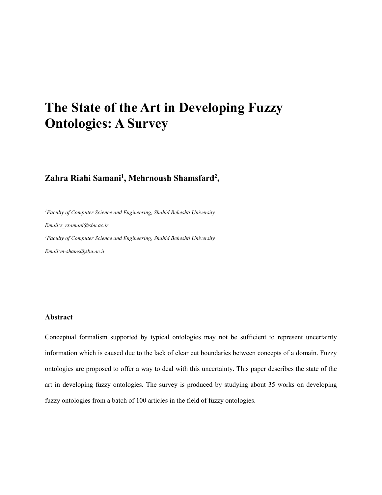# The State of the Art in Developing Fuzzy Ontologies: A Survey

# Zahra Riahi Samani<sup>1</sup>, Mehrnoush Shamsfard<sup>2</sup>,

*1Faculty of Computer Science and Engineering, Shahid Beheshti University*

*Email:z\_rsamani@sbu.ac.ir*

*1Faculty of Computer Science and Engineering, Shahid Beheshti University*

*Email:m-shams@sbu.ac.ir*

# Abstract

Conceptual formalism supported by typical ontologies may not be sufficient to represent uncertainty information which is caused due to the lack of clear cut boundaries between concepts of a domain. Fuzzy ontologies are proposed to offer a way to deal with this uncertainty. This paper describes the state of the art in developing fuzzy ontologies. The survey is produced by studying about 35 works on developing fuzzy ontologies from a batch of 100 articles in the field of fuzzy ontologies.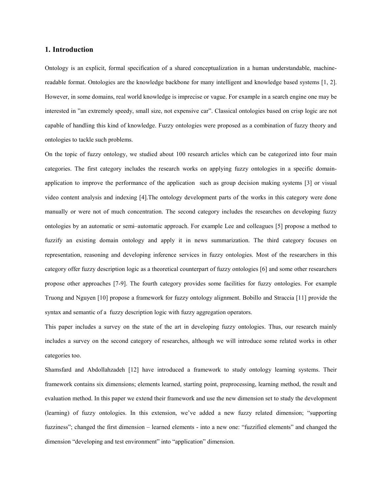#### 1. Introduction

Ontology is an explicit, formal specification of a shared conceptualization in a human understandable, machinereadable format. Ontologies are the knowledge backbone for many intelligent and knowledge based systems [1, 2]. However, in some domains, real world knowledge is imprecise or vague. For example in a search engine one may be interested in "an extremely speedy, small size, not expensive car". Classical ontologies based on crisp logic are not capable of handling this kind of knowledge. Fuzzy ontologies were proposed as a combination of fuzzy theory and ontologies to tackle such problems.

On the topic of fuzzy ontology, we studied about 100 research articles which can be categorized into four main categories. The first category includes the research works on applying fuzzy ontologies in a specific domainapplication to improve the performance of the application such as group decision making systems [3] or visual video content analysis and indexing [4].The ontology development parts of the works in this category were done manually or were not of much concentration. The second category includes the researches on developing fuzzy ontologies by an automatic or semi–automatic approach. For example Lee and colleagues [5] propose a method to fuzzify an existing domain ontology and apply it in news summarization. The third category focuses on representation, reasoning and developing inference services in fuzzy ontologies. Most of the researchers in this category offer fuzzy description logic as a theoretical counterpart of fuzzy ontologies [6] and some other researchers propose other approaches [7-9]. The fourth category provides some facilities for fuzzy ontologies. For example Truong and Nguyen [10] propose a framework for fuzzy ontology alignment. Bobillo and Straccia [11] provide the syntax and semantic of a fuzzy description logic with fuzzy aggregation operators.

This paper includes a survey on the state of the art in developing fuzzy ontologies. Thus, our research mainly includes a survey on the second category of researches, although we will introduce some related works in other categories too.

Shamsfard and Abdollahzadeh [12] have introduced a framework to study ontology learning systems. Their framework contains six dimensions; elements learned, starting point, preprocessing, learning method, the result and evaluation method. In this paper we extend their framework and use the new dimension set to study the development (learning) of fuzzy ontologies. In this extension, we've added a new fuzzy related dimension; "supporting fuzziness"; changed the first dimension – learned elements - into a new one: "fuzzified elements" and changed the dimension "developing and test environment" into "application" dimension.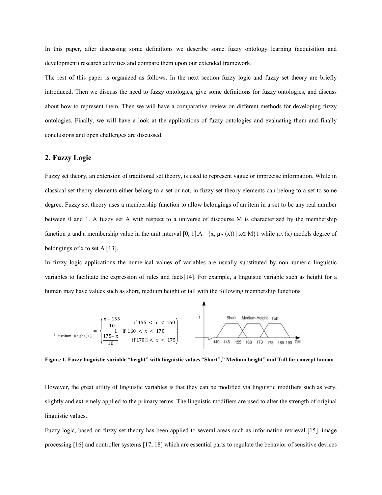In this paper, after discussing some definitions we describe some fuzzy ontology learning (acquisition and development) research activities and compare them upon our extended framework.

The rest of this paper is organized as follows. In the next section fuzzy logic and fuzzy set theory are briefly introduced. Then we discuss the need to fuzzy ontologies, give some definitions for fuzzy ontologies, and discuss about how to represent them. Then we will have a comparative review on different methods for developing fuzzy ontologies. Finally, we will have a look at the applications of fuzzy ontologies and evaluating them and finally conclusions and open challenges are discussed.

# 2. Fuzzy Logic

Fuzzy set theory, an extension of traditional set theory, is used to represent vague or imprecise information. While in classical set theory elements either belong to a set or not, in fuzzy set theory elements can belong to a set to some degree. Fuzzy set theory uses a membership function to allow belongings of an item in a set to be any real number between 0 and 1. A fuzzy set A with respect to a universe of discourse M is characterized by the membership function μ and a membership value in the unit interval [0, 1], A ={x, μ<sub>A</sub> (x)) | x ∈ M}1 while μ<sub>A</sub> (x) models degree of belongings of x to set A [13].

In fuzzy logic applications the numerical values of variables are usually substituted by non-numeric linguistic variables to facilitate the expression of rules and facts[14]. For example, a linguistic variable such as height for a human may have values such as short, medium height or tall with the following membership functions



Figure 1. Fuzzy linguistic variable "height" with linguistic values "Short"," Medium height" and Tall for concept human

However, the great utility of linguistic variables is that they can be modified via linguistic modifiers such as very, slightly and extremely applied to the primary terms. The linguistic modifiers are used to alter the strength of original linguistic values.

Fuzzy logic, based on fuzzy set theory has been applied to several areas such as information retrieval [15], image processing [16] and controller systems [17, 18] which are essential parts to regulate the behavior of sensitive devices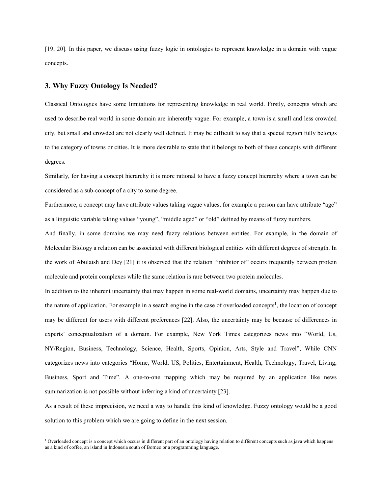[19, 20]. In this paper, we discuss using fuzzy logic in ontologies to represent knowledge in a domain with vague concepts.

# 3. Why Fuzzy Ontology Is Needed?

Classical Ontologies have some limitations for representing knowledge in real world. Firstly, concepts which are used to describe real world in some domain are inherently vague. For example, a town is a small and less crowded city, but small and crowded are not clearly well defined. It may be difficult to say that a special region fully belongs to the category of towns or cities. It is more desirable to state that it belongs to both of these concepts with different degrees.

Similarly, for having a concept hierarchy it is more rational to have a fuzzy concept hierarchy where a town can be considered as a sub-concept of a city to some degree.

Furthermore, a concept may have attribute values taking vague values, for example a person can have attribute "age" as a linguistic variable taking values "young", "middle aged" or "old" defined by means of fuzzy numbers.

And finally, in some domains we may need fuzzy relations between entities. For example, in the domain of Molecular Biology a relation can be associated with different biological entities with different degrees of strength. In the work of Abulaish and Dey [21] it is observed that the relation "inhibitor of" occurs frequently between protein molecule and protein complexes while the same relation is rare between two protein molecules.

In addition to the inherent uncertainty that may happen in some real-world domains, uncertainty may happen due to the nature of application. For example in a search engine in the case of overloaded concepts<sup>1</sup>, the location of concept may be different for users with different preferences [22]. Also, the uncertainty may be because of differences in experts' conceptualization of a domain. For example, New York Times categorizes news into "World, Us, NY/Region, Business, Technology, Science, Health, Sports, Opinion, Arts, Style and Travel", While CNN categorizes news into categories "Home, World, US, Politics, Entertainment, Health, Technology, Travel, Living, Business, Sport and Time". A one-to-one mapping which may be required by an application like news summarization is not possible without inferring a kind of uncertainty [23].

As a result of these imprecision, we need a way to handle this kind of knowledge. Fuzzy ontology would be a good solution to this problem which we are going to define in the next session.

<sup>1</sup> Overloaded concept is a concept which occurs in different part of an ontology having relation to different concepts such as java which happens as a kind of coffee, an island in Indonesia south of Borneo or a programming language.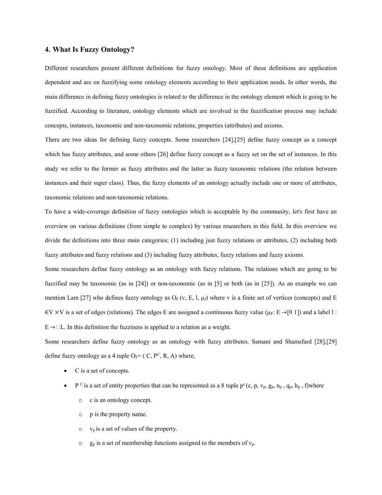# 4. What Is Fuzzy Ontology?

Different researchers present different definitions for fuzzy ontology. Most of these definitions are application dependent and are on fuzzifying some ontology elements according to their application needs. In other words, the main difference in defining fuzzy ontologies is related to the difference in the ontology element which is going to be fuzzified. According to literature, ontology elements which are involved in the fuzzification process may include concepts, instances, taxonomic and non-taxonomic relations, properties (attributes) and axioms.

There are two ideas for defining fuzzy concepts. Some researchers [24],[25] define fuzzy concept as a concept which has fuzzy attributes, and some others [26] define fuzzy concept as a fuzzy set on the set of instances. In this study we refer to the former as fuzzy attributes and the latter as fuzzy taxonomic relations (the relation between instances and their super class). Thus, the fuzzy elements of an ontology actually include one or more of attributes, taxonomic relations and non-taxonomic relations.

To have a wide-coverage definition of fuzzy ontologies which is acceptable by the community, let's first have an overview on various definitions (from simple to complex) by various researchers in this field. In this overview we divide the definitions into three main categories; (1) including just fuzzy relations or attributes, (2) including both fuzzy attributes and fuzzy relations and (3) including fuzzy attributes, fuzzy relations and fuzzy axioms.

Some researchers define fuzzy ontology as an ontology with fuzzy relations. The relations which are going to be fuzzified may be taxonomic (as in [24]) or non-taxonomic (as in [5] or both (as in [25]). As an example we can mention Lam [27] who defines fuzzy ontology as  $O_F$  (v, E, l,  $\mu_f$ ) where v is a finite set of vertices (concepts) and E  $\in$ V ×V is a set of edges (relations). The edges E are assigned a continuous fuzzy value ( $\mu$ <sub>F</sub>: E  $\rightarrow$ [0 1]) and a label l :  $E \rightarrow \Box L$ . In this definition the fuzziness is applied to a relation as a weight.

Some researchers define fuzzy ontology as an ontology with fuzzy attributes. Samani and Shamsfard [28],[29] define fuzzy ontology as a 4 tuple  $O_F = (C, P^C, R, A)$  where,

- C is a set of concepts.
- P <sup>C</sup> is a set of entity properties that can be represented as a 8 tuple  $p^c$  (c, p,  $v_p$ ,  $g_p$ ,  $n_p$ ,  $q_p$ ,  $h_p$ , f)where
	- o c is an ontology concept.
	- o p is the property name.
	- $\circ$  v<sub>p</sub> is a set of values of the property.
	- $\circ$  g<sub>p</sub> is a set of membership functions assigned to the members of v<sub>p</sub>.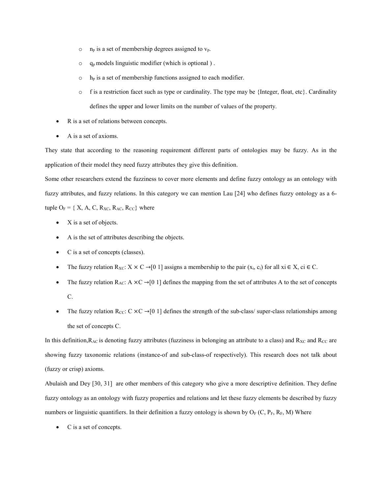- $o$  n<sub>p</sub> is a set of membership degrees assigned to  $v_p$ .
- $\circ$  q<sub>p</sub> models linguistic modifier (which is optional).
- $\circ$  h<sub>p</sub> is a set of membership functions assigned to each modifier.
- $\circ$  f is a restriction facet such as type or cardinality. The type may be {Integer, float, etc}. Cardinality defines the upper and lower limits on the number of values of the property.
- R is a set of relations between concepts.
- A is a set of axioms.

They state that according to the reasoning requirement different parts of ontologies may be fuzzy. As in the application of their model they need fuzzy attributes they give this definition.

Some other researchers extend the fuzziness to cover more elements and define fuzzy ontology as an ontology with fuzzy attributes, and fuzzy relations. In this category we can mention Lau [24] who defines fuzzy ontology as a 6 tuple  $O_F = \{ X, A, C, R_{XC}, R_{AC}, R_{CC} \}$  where

- X is a set of objects.
- A is the set of attributes describing the objects.
- C is a set of concepts (classes).
- The fuzzy relation  $R_{XC}$ :  $X \times C \rightarrow [0 \ 1]$  assigns a membership to the pair  $(x_i, c_i)$  for all  $xi \in X$ ,  $ci \in C$ .
- The fuzzy relation  $R_{AC}$ : A  $\times$ C  $\rightarrow$  [0 1] defines the mapping from the set of attributes A to the set of concepts C.
- The fuzzy relation R<sub>CC</sub>: C  $\times$ C  $\rightarrow$  [0 1] defines the strength of the sub-class/ super-class relationships among the set of concepts C.

In this definition,  $R_{AC}$  is denoting fuzzy attributes (fuzziness in belonging an attribute to a class) and  $R_{XC}$  and  $R_{CC}$  are showing fuzzy taxonomic relations (instance-of and sub-class-of respectively). This research does not talk about (fuzzy or crisp) axioms.

Abulaish and Dey [30, 31] are other members of this category who give a more descriptive definition. They define fuzzy ontology as an ontology with fuzzy properties and relations and let these fuzzy elements be described by fuzzy numbers or linguistic quantifiers. In their definition a fuzzy ontology is shown by  $O_F(C, P_F, R_F, M)$  Where

• C is a set of concepts.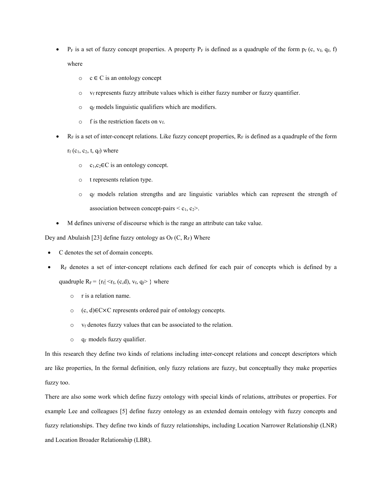- $P_F$  is a set of fuzzy concept properties. A property  $P_F$  is defined as a quadruple of the form  $p_f$  (c, v<sub>f, qf,</sub> f) where
	- $\circ \circ \in \mathbb{C}$  is an ontology concept
	- $\circ$  v<sub>f</sub> represents fuzzy attribute values which is either fuzzy number or fuzzy quantifier.
	- $\circ$  q<sub>f</sub> models linguistic qualifiers which are modifiers.
	- $\circ$  f is the restriction facets on  $v_f$ .
- $R_F$  is a set of inter-concept relations. Like fuzzy concept properties,  $R_F$  is defined as a quadruple of the form

 $r_f$  (c<sub>1</sub>, c<sub>2</sub>, t, q<sub>f</sub>) where

- o c1,c2∈C is an ontology concept.
- o t represents relation type.
- $\circ$  q<sub>f</sub> models relation strengths and are linguistic variables which can represent the strength of association between concept-pairs  $\leq c_1, c_2$ .
- M defines universe of discourse which is the range an attribute can take value.

Dey and Abulaish [23] define fuzzy ontology as  $O_F(C, R_F)$  Where

- C denotes the set of domain concepts.
- RF denotes a set of inter-concept relations each defined for each pair of concepts which is defined by a quadruple  $R_F = \{r_f | \langle r_f, (c,d), v_f, q_f \rangle\}$  where
	- o r is a relation name.
	- o (c, d)∈C×C represents ordered pair of ontology concepts.
	- $\circ$  v<sub>f</sub> denotes fuzzy values that can be associated to the relation.
	- $\circ$  q<sub>f</sub> models fuzzy qualifier.

In this research they define two kinds of relations including inter-concept relations and concept descriptors which are like properties, In the formal definition, only fuzzy relations are fuzzy, but conceptually they make properties fuzzy too.

There are also some work which define fuzzy ontology with special kinds of relations, attributes or properties. For example Lee and colleagues [5] define fuzzy ontology as an extended domain ontology with fuzzy concepts and fuzzy relationships. They define two kinds of fuzzy relationships, including Location Narrower Relationship (LNR) and Location Broader Relationship (LBR).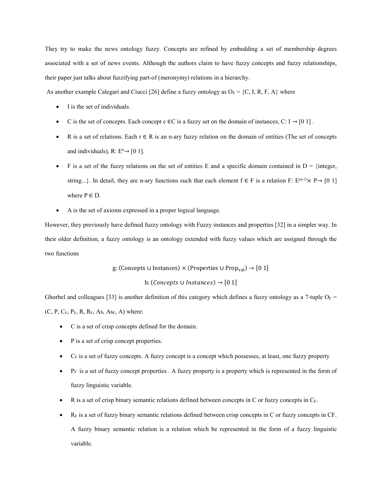They try to make the news ontology fuzzy. Concepts are refined by embedding a set of membership degrees associated with a set of news events. Although the authors claim to have fuzzy concepts and fuzzy relationships, their paper just talks about fuzzifying part-of (meronymy) relations in a hierarchy.

As another example Calegari and Ciucci [26] define a fuzzy ontology as  $O_F = \{C, I, R, F, A\}$  where

- I is the set of individuals.
- C is the set of concepts. Each concept c  $\in$ C is a fuzzy set on the domain of instances, C: I  $\rightarrow$  [0 1].
- R is a set of relations. Each  $r \in R$  is an n-ary fuzzy relation on the domain of entities (The set of concepts and individuals),  $R: E<sup>n</sup>\rightarrow [0 1]$ .
- F is a set of the fuzzy relations on the set of entities E and a specific domain contained in  $D = \{$ integer, string...}. In detail, they are n-ary functions such that each element  $f \in F$  is a relation F:  $E^{(n-1)} \times P \rightarrow [0 \ 1]$ where  $P \in D$ .
- A is the set of axioms expressed in a proper logical language.

However, they previously have defined fuzzy ontology with Fuzzy instances and properties [32] in a simpler way. In their older definition, a fuzzy ontology is an ontology extended with fuzzy values which are assigned through the two functions

g: (Concepts ∪ Instances) × (Properties ∪ Prop $_{\rm val}) \rightarrow [0 \ 1]$ 

h: (*Concepts*  $\cup$  *Instances*)  $\rightarrow$  [0 1]

Ghorbel and colleagues [33] is another definition of this category which defines a fuzzy ontology as a 7-tuple  $O_F =$  $(C, P, C_F, P_F, R, R_F, As, As<sub>F</sub>, A)$  where:

- C is a set of crisp concepts defined for the domain.
- P is a set of crisp concept properties.
- $C_F$  is a set of fuzzy concepts. A fuzzy concept is a concept which possesses, at least, one fuzzy property
- $P_F$  is a set of fuzzy concept properties . A fuzzy property is a property which is represented in the form of fuzzy linguistic variable.
- R is a set of crisp binary semantic relations defined between concepts in C or fuzzy concepts in C<sub>F</sub>.
- RF is a set of fuzzy binary semantic relations defined between crisp concepts in C or fuzzy concepts in CF. A fuzzy binary semantic relation is a relation which be represented in the form of a fuzzy linguistic variable.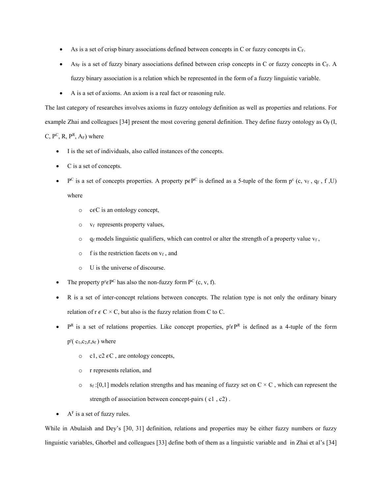- As is a set of crisp binary associations defined between concepts in C or fuzzy concepts in  $C_F$ .
- $As<sub>F</sub>$  is a set of fuzzy binary associations defined between crisp concepts in C or fuzzy concepts in  $C<sub>F</sub>$ . A fuzzy binary association is a relation which be represented in the form of a fuzzy linguistic variable.
- A is a set of axioms. An axiom is a real fact or reasoning rule.

The last category of researches involves axioms in fuzzy ontology definition as well as properties and relations. For example Zhai and colleagues [34] present the most covering general definition. They define fuzzy ontology as  $O_F$  (I, C,  $P^C$ , R,  $P^R$ , A<sub>F</sub>) where

- I is the set of individuals, also called instances of the concepts.
- C is a set of concepts.
- P<sup>C</sup> is a set of concepts properties. A property  $p \in P^C$  is defined as a 5-tuple of the form  $p^c$  (c,  $v_f$ ,  $q_f$ , f, U)

where

- $\circ$  c $\epsilon$ C is an ontology concept,
- $\circ$  v<sub>f</sub> represents property values,
- $\circ$  q<sub>f</sub> models linguistic qualifiers, which can control or alter the strength of a property value  $v_f$ ,
- $\circ$  f is the restriction facets on  $v_f$ , and
- o U is the universe of discourse.
- The property  $p^c \in P^C$  has also the non-fuzzy form  $P^C$  (c, v, f).
- R is a set of inter-concept relations between concepts. The relation type is not only the ordinary binary relation of  $r \in C \times C$ , but also is the fuzzy relation from C to C.
- $P^R$  is a set of relations properties. Like concept properties,  $p^r \in P^R$  is defined as a 4-tuple of the form  $p^{r}$ ( $c_1, c_2, r, s_f$ ) where
	- o c1, c2  $\epsilon$ C, are ontology concepts,
	- o r represents relation, and
	- $\circ$  s<sub>f</sub> :[0,1] models relation strengths and has meaning of fuzzy set on C  $\times$  C, which can represent the strength of association between concept-pairs ( c1 , c2) .
- $A<sup>F</sup>$  is a set of fuzzy rules.

While in Abulaish and Dey's [30, 31] definition, relations and properties may be either fuzzy numbers or fuzzy linguistic variables, Ghorbel and colleagues [33] define both of them as a linguistic variable and in Zhai et al's [34]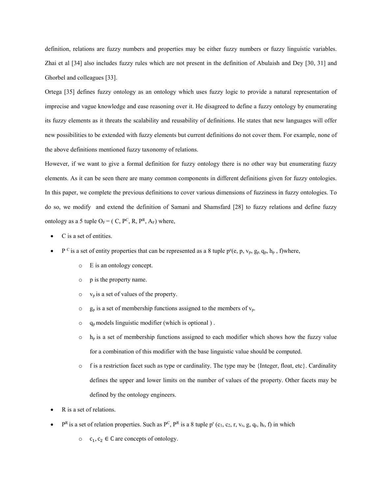definition, relations are fuzzy numbers and properties may be either fuzzy numbers or fuzzy linguistic variables. Zhai et al [34] also includes fuzzy rules which are not present in the definition of Abulaish and Dey [30, 31] and Ghorbel and colleagues [33].

Ortega [35] defines fuzzy ontology as an ontology which uses fuzzy logic to provide a natural representation of imprecise and vague knowledge and ease reasoning over it. He disagreed to define a fuzzy ontology by enumerating its fuzzy elements as it threats the scalability and reusability of definitions. He states that new languages will offer new possibilities to be extended with fuzzy elements but current definitions do not cover them. For example, none of the above definitions mentioned fuzzy taxonomy of relations.

However, if we want to give a formal definition for fuzzy ontology there is no other way but enumerating fuzzy elements. As it can be seen there are many common components in different definitions given for fuzzy ontologies. In this paper, we complete the previous definitions to cover various dimensions of fuzziness in fuzzy ontologies. To do so, we modify and extend the definition of Samani and Shamsfard [28] to fuzzy relations and define fuzzy ontology as a 5 tuple  $O_F = (C, P^C, R, P^R, A_F)$  where,

- C is a set of entities.
- P<sup>c</sup> is a set of entity properties that can be represented as a 8 tuple  $p^{e}(e, p, v_{p}, g_{p}, q_{p}, h_{p}, f)$  where,
	- o E is an ontology concept.
	- o p is the property name.
	- $\circ$  v<sub>p</sub> is a set of values of the property.
	- $\circ$  g<sub>p</sub> is a set of membership functions assigned to the members of  $v_p$ .
	- $o$  q<sub>p</sub> models linguistic modifier (which is optional).
	- $\circ$  h<sub>p</sub> is a set of membership functions assigned to each modifier which shows how the fuzzy value for a combination of this modifier with the base linguistic value should be computed.
	- $\circ$  f is a restriction facet such as type or cardinality. The type may be {Integer, float, etc}. Cardinality defines the upper and lower limits on the number of values of the property. Other facets may be defined by the ontology engineers.
- R is a set of relations.
- $P^R$  is a set of relation properties. Such as  $P^C$ ,  $P^R$  is a 8 tuple p<sup>r</sup> (c<sub>1</sub>, c<sub>2</sub>, r, v<sub>r</sub>, g, q<sub>r</sub>, h<sub>r</sub>, f) in which
	- $c_1, c_2$  ∈ C are concepts of ontology.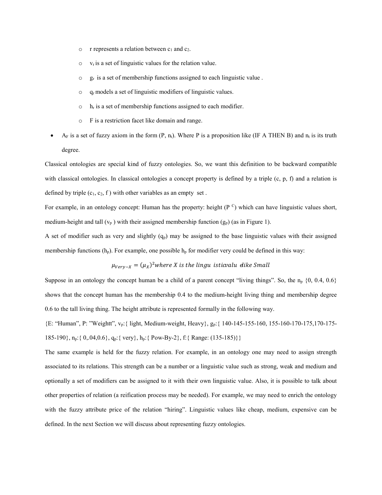- $\circ$  r represents a relation between  $c_1$  and  $c_2$ .
- $\circ$  v<sub>r</sub> is a set of linguistic values for the relation value.
- $\circ$  g<sub>r</sub> is a set of membership functions assigned to each linguistic value.
- $\circ$  q<sub>r</sub> models a set of linguistic modifiers of linguistic values.
- $o$  h<sub>r</sub> is a set of membership functions assigned to each modifier.
- o F is a restriction facet like domain and range.
- AF is a set of fuzzy axiom in the form  $(P, n_t)$ . Where P is a proposition like (IF A THEN B) and  $n_t$  is its truth degree.

Classical ontologies are special kind of fuzzy ontologies. So, we want this definition to be backward compatible with classical ontologies. In classical ontologies a concept property is defined by a triple (c, p, f) and a relation is defined by triple  $(c_1, c_2, f)$  with other variables as an empty set.

For example, in an ontology concept: Human has the property: height ( $P^C$ ) which can have linguistic values short, medium-height and tall  $(v_p)$  with their assigned membership function  $(g_p)$  (as in Figure 1).

A set of modifier such as very and slightly  $(q_p)$  may be assigned to the base linguistic values with their assigned membership functions  $(h_p)$ . For example, one possible  $h_p$  for modifier very could be defined in this way:

$$
\mu_{Very-X} = (\mu_X)^2
$$
 where X is the linguistic value like Small

Suppose in an ontology the concept human be a child of a parent concept "living things". So, the  $n_p$   $\{0, 0.4, 0.6\}$ shows that the concept human has the membership 0.4 to the medium-height living thing and membership degree 0.6 to the tall living thing. The height attribute is represented formally in the following way.

{E: "Human", P: "Weightt", vp:{ light, Medium-weight, Heavy}, gp:{ 140-145-155-160, 155-160-170-175,170-175- 185-190}, np:{ 0,.04,0.6}, qp:{ very}, hp:{ Pow-By-2}, f:{ Range: (135-185)}}

The same example is held for the fuzzy relation. For example, in an ontology one may need to assign strength associated to its relations. This strength can be a number or a linguistic value such as strong, weak and medium and optionally a set of modifiers can be assigned to it with their own linguistic value. Also, it is possible to talk about other properties of relation (a reification process may be needed). For example, we may need to enrich the ontology with the fuzzy attribute price of the relation "hiring". Linguistic values like cheap, medium, expensive can be defined. In the next Section we will discuss about representing fuzzy ontologies.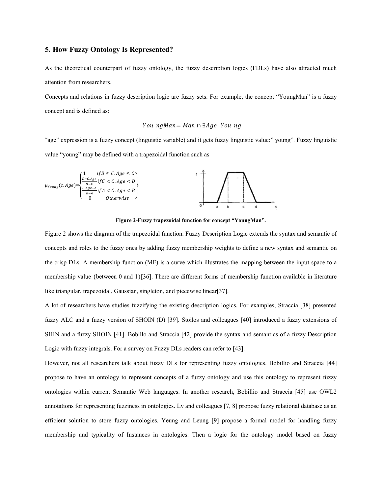# 5. How Fuzzy Ontology Is Represented?

As the theoretical counterpart of fuzzy ontology, the fuzzy description logics (FDLs) have also attracted much attention from researchers.

Concepts and relations in fuzzy description logic are fuzzy sets. For example, the concept "YoungMan" is a fuzzy concept and is defined as:

#### $YoungMan = Man \cap \exists Age \, . Young$

"age" expression is a fuzzy concept (linguistic variable) and it gets fuzzy linguistic value:" young". Fuzzy linguistic value "young" may be defined with a trapezoidal function such as



Figure 2-Fuzzy trapezoidal function for concept "YoungMan".

Figure 2 shows the diagram of the trapezoidal function. Fuzzy Description Logic extends the syntax and semantic of concepts and roles to the fuzzy ones by adding fuzzy membership weights to define a new syntax and semantic on the crisp DLs. A membership function (MF) is a curve which illustrates the mapping between the input space to a membership value {between 0 and 1}[36]. There are different forms of membership function available in literature like triangular, trapezoidal, Gaussian, singleton, and piecewise linear[37].

A lot of researchers have studies fuzzifying the existing description logics. For examples, Straccia [38] presented fuzzy ALC and a fuzzy version of SHOIN (D) [39]. Stoilos and colleagues [40] introduced a fuzzy extensions of SHIN and a fuzzy SHOIN [41]. Bobillo and Straccia [42] provide the syntax and semantics of a fuzzy Description Logic with fuzzy integrals. For a survey on Fuzzy DLs readers can refer to [43].

However, not all researchers talk about fuzzy DLs for representing fuzzy ontologies. Bobillio and Straccia [44] propose to have an ontology to represent concepts of a fuzzy ontology and use this ontology to represent fuzzy ontologies within current Semantic Web languages. In another research, Bobillio and Straccia [45] use OWL2 annotations for representing fuzziness in ontologies. Lv and colleagues [7, 8] propose fuzzy relational database as an efficient solution to store fuzzy ontologies. Yeung and Leung [9] propose a formal model for handling fuzzy membership and typicality of Instances in ontologies. Then a logic for the ontology model based on fuzzy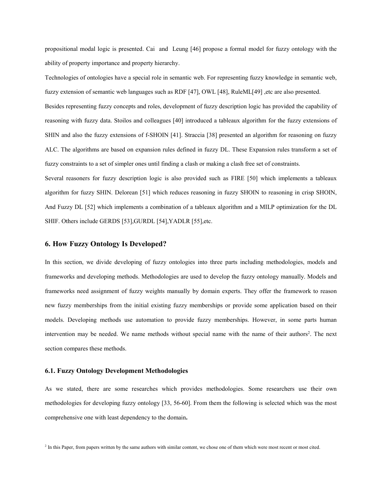propositional modal logic is presented. Cai and Leung [46] propose a formal model for fuzzy ontology with the ability of property importance and property hierarchy.

Technologies of ontologies have a special role in semantic web. For representing fuzzy knowledge in semantic web, fuzzy extension of semantic web languages such as RDF [47], OWL [48], RuleML[49] ,etc are also presented.

Besides representing fuzzy concepts and roles, development of fuzzy description logic has provided the capability of reasoning with fuzzy data. Stoilos and colleagues [40] introduced a tableaux algorithm for the fuzzy extensions of SHIN and also the fuzzy extensions of f-SHOIN [41]. Straccia [38] presented an algorithm for reasoning on fuzzy ALC. The algorithms are based on expansion rules defined in fuzzy DL. These Expansion rules transform a set of fuzzy constraints to a set of simpler ones until finding a clash or making a clash free set of constraints.

Several reasoners for fuzzy description logic is also provided such as FIRE [50] which implements a tableaux algorithm for fuzzy SHIN. Delorean [51] which reduces reasoning in fuzzy SHOIN to reasoning in crisp SHOIN, And Fuzzy DL [52] which implements a combination of a tableaux algorithm and a MILP optimization for the DL SHIF. Others include GERDS [53],GURDL [54],YADLR [55],etc.

# 6. How Fuzzy Ontology Is Developed?

In this section, we divide developing of fuzzy ontologies into three parts including methodologies, models and frameworks and developing methods. Methodologies are used to develop the fuzzy ontology manually. Models and frameworks need assignment of fuzzy weights manually by domain experts. They offer the framework to reason new fuzzy memberships from the initial existing fuzzy memberships or provide some application based on their models. Developing methods use automation to provide fuzzy memberships. However, in some parts human intervention may be needed. We name methods without special name with the name of their authors<sup>2</sup>. The next section compares these methods.

#### 6.1. Fuzzy Ontology Development Methodologies

As we stated, there are some researches which provides methodologies. Some researchers use their own methodologies for developing fuzzy ontology [33, 56-60]. From them the following is selected which was the most comprehensive one with least dependency to the domain.

<sup>2</sup> In this Paper, from papers written by the same authors with similar content, we chose one of them which were most recent or most cited.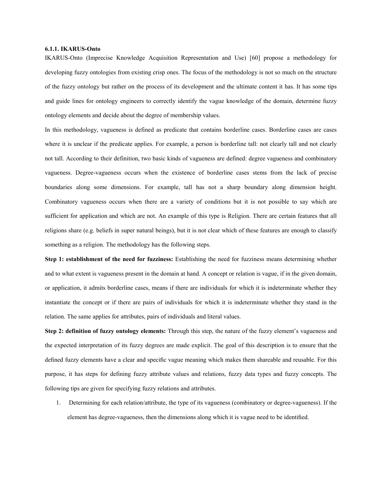#### 6.1.1. IKARUS-Onto

IKARUS-Onto (Imprecise Knowledge Acquisition Representation and Use) [60] propose a methodology for developing fuzzy ontologies from existing crisp ones. The focus of the methodology is not so much on the structure of the fuzzy ontology but rather on the process of its development and the ultimate content it has. It has some tips and guide lines for ontology engineers to correctly identify the vague knowledge of the domain, determine fuzzy ontology elements and decide about the degree of membership values.

In this methodology, vagueness is defined as predicate that contains borderline cases. Borderline cases are cases where it is unclear if the predicate applies. For example, a person is borderline tall: not clearly tall and not clearly not tall. According to their definition, two basic kinds of vagueness are defined: degree vagueness and combinatory vagueness. Degree-vagueness occurs when the existence of borderline cases stems from the lack of precise boundaries along some dimensions. For example, tall has not a sharp boundary along dimension height. Combinatory vagueness occurs when there are a variety of conditions but it is not possible to say which are sufficient for application and which are not. An example of this type is Religion. There are certain features that all religions share (e.g. beliefs in super natural beings), but it is not clear which of these features are enough to classify something as a religion. The methodology has the following steps.

Step 1: establishment of the need for fuzziness: Establishing the need for fuzziness means determining whether and to what extent is vagueness present in the domain at hand. A concept or relation is vague, if in the given domain, or application, it admits borderline cases, means if there are individuals for which it is indeterminate whether they instantiate the concept or if there are pairs of individuals for which it is indeterminate whether they stand in the relation. The same applies for attributes, pairs of individuals and literal values.

Step 2: definition of fuzzy ontology elements: Through this step, the nature of the fuzzy element's vagueness and the expected interpretation of its fuzzy degrees are made explicit. The goal of this description is to ensure that the defined fuzzy elements have a clear and specific vague meaning which makes them shareable and reusable. For this purpose, it has steps for defining fuzzy attribute values and relations, fuzzy data types and fuzzy concepts. The following tips are given for specifying fuzzy relations and attributes.

1. Determining for each relation/attribute, the type of its vagueness (combinatory or degree-vagueness). If the element has degree-vagueness, then the dimensions along which it is vague need to be identified.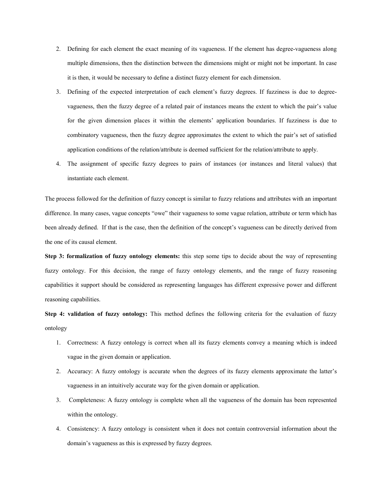- 2. Defining for each element the exact meaning of its vagueness. If the element has degree-vagueness along multiple dimensions, then the distinction between the dimensions might or might not be important. In case it is then, it would be necessary to define a distinct fuzzy element for each dimension.
- 3. Defining of the expected interpretation of each element's fuzzy degrees. If fuzziness is due to degreevagueness, then the fuzzy degree of a related pair of instances means the extent to which the pair's value for the given dimension places it within the elements' application boundaries. If fuzziness is due to combinatory vagueness, then the fuzzy degree approximates the extent to which the pair's set of satisfied application conditions of the relation/attribute is deemed sufficient for the relation/attribute to apply.
- 4. The assignment of specific fuzzy degrees to pairs of instances (or instances and literal values) that instantiate each element.

The process followed for the definition of fuzzy concept is similar to fuzzy relations and attributes with an important difference. In many cases, vague concepts "owe" their vagueness to some vague relation, attribute or term which has been already defined. If that is the case, then the definition of the concept's vagueness can be directly derived from the one of its causal element.

Step 3: formalization of fuzzy ontology elements: this step some tips to decide about the way of representing fuzzy ontology. For this decision, the range of fuzzy ontology elements, and the range of fuzzy reasoning capabilities it support should be considered as representing languages has different expressive power and different reasoning capabilities.

Step 4: validation of fuzzy ontology: This method defines the following criteria for the evaluation of fuzzy ontology

- 1. Correctness: A fuzzy ontology is correct when all its fuzzy elements convey a meaning which is indeed vague in the given domain or application.
- 2. Accuracy: A fuzzy ontology is accurate when the degrees of its fuzzy elements approximate the latter's vagueness in an intuitively accurate way for the given domain or application.
- 3. Completeness: A fuzzy ontology is complete when all the vagueness of the domain has been represented within the ontology.
- 4. Consistency: A fuzzy ontology is consistent when it does not contain controversial information about the domain's vagueness as this is expressed by fuzzy degrees.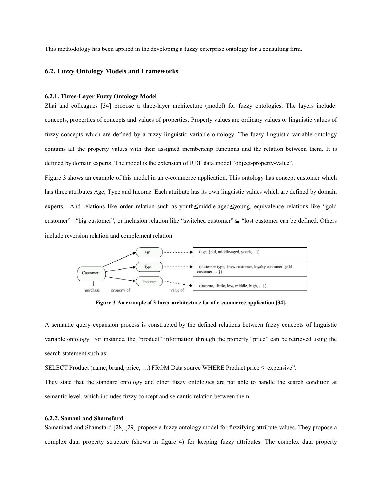This methodology has been applied in the developing a fuzzy enterprise ontology for a consulting firm.

#### 6.2. Fuzzy Ontology Models and Frameworks

#### 6.2.1. Three-Layer Fuzzy Ontology Model

Zhai and colleagues [34] propose a three-layer architecture (model) for fuzzy ontologies. The layers include: concepts, properties of concepts and values of properties. Property values are ordinary values or linguistic values of fuzzy concepts which are defined by a fuzzy linguistic variable ontology. The fuzzy linguistic variable ontology contains all the property values with their assigned membership functions and the relation between them. It is defined by domain experts. The model is the extension of RDF data model "object-property-value".

Figure 3 shows an example of this model in an e-commerce application. This ontology has concept customer which has three attributes Age, Type and Income. Each attribute has its own linguistic values which are defined by domain experts. And relations like order relation such as youth≤middle-aged≤young, equivalence relations like "gold customer"= "big customer", or inclusion relation like "switched customer"  $\subseteq$  "lost customer can be defined. Others include reversion relation and complement relation.



Figure 3-An example of 3-layer architecture for of e-commerce application [34].

A semantic query expansion process is constructed by the defined relations between fuzzy concepts of linguistic variable ontology. For instance, the "product" information through the property "price" can be retrieved using the search statement such as:

SELECT Product (name, brand, price, ...) FROM Data source WHERE Product.price  $\leq$  expensive".

They state that the standard ontology and other fuzzy ontologies are not able to handle the search condition at semantic level, which includes fuzzy concept and semantic relation between them.

#### 6.2.2. Samani and Shamsfard

Samaniand and Shamsfard [28],[29] propose a fuzzy ontology model for fuzzifying attribute values. They propose a complex data property structure (shown in figure 4) for keeping fuzzy attributes. The complex data property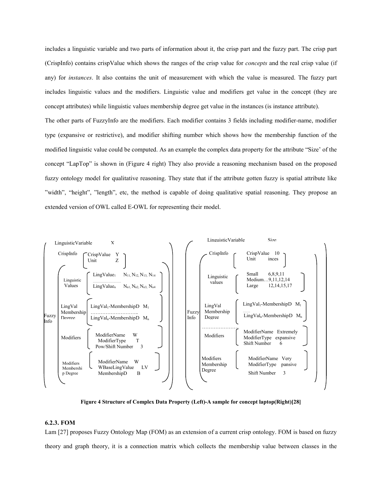includes a linguistic variable and two parts of information about it, the crisp part and the fuzzy part. The crisp part (CrispInfo) contains crispValue which shows the ranges of the crisp value for *concepts* and the real crisp value (if any) for *instances*. It also contains the unit of measurement with which the value is measured. The fuzzy part includes linguistic values and the modifiers. Linguistic value and modifiers get value in the concept (they are concept attributes) while linguistic values membership degree get value in the instances (is instance attribute).

The other parts of FuzzyInfo are the modifiers. Each modifier contains 3 fields including modifier-name, modifier type (expansive or restrictive), and modifier shifting number which shows how the membership function of the modified linguistic value could be computed. As an example the complex data property for the attribute "Size' of the concept "LapTop" is shown in (Figure 4 right) They also provide a reasoning mechanism based on the proposed fuzzy ontology model for qualitative reasoning. They state that if the attribute gotten fuzzy is spatial attribute like "width", "height", "length", etc, the method is capable of doing qualitative spatial reasoning. They propose an extended version of OWL called E-OWL for representing their model.



Figure 4 Structure of Complex Data Property (Left)-A sample for concept laptop(Right)[28]

# 6.2.3. FOM

Lam [27] proposes Fuzzy Ontology Map (FOM) as an extension of a current crisp ontology. FOM is based on fuzzy theory and graph theory, it is a connection matrix which collects the membership value between classes in the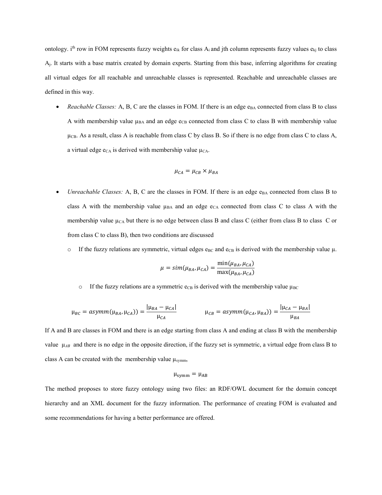ontology. i<sup>th</sup> row in FOM represents fuzzy weights  $e_{ik}$  for class  $A_i$  and jth column represents fuzzy values  $e_{kj}$  to class  $A_i$ . It starts with a base matrix created by domain experts. Starting from this base, inferring algorithms for creating all virtual edges for all reachable and unreachable classes is represented. Reachable and unreachable classes are defined in this way.

• *Reachable Classes:* A, B, C are the classes in FOM. If there is an edge  $e_{BA}$  connected from class B to class A with membership value  $\mu_{BA}$  and an edge e<sub>CB</sub> connected from class C to class B with membership value  $\mu$ CB. As a result, class A is reachable from class C by class B. So if there is no edge from class C to class A, a virtual edge  $e_{CA}$  is derived with membership value  $\mu_{CA}$ .

$$
\mu_{CA} = \mu_{CB} \times \mu_{BA}
$$

- *Unreachable Classes:* A, B, C are the classes in FOM. If there is an edge  $e_{BA}$  connected from class B to class A with the membership value  $\mu_{BA}$  and an edge e<sub>CA</sub> connected from class C to class A with the membership value  $\mu_{CA}$  but there is no edge between class B and class C (either from class B to class C or from class C to class B), then two conditions are discussed
	- o If the fuzzy relations are symmetric, virtual edges  $e_{BC}$  and  $e_{CB}$  is derived with the membership value  $\mu$ .

$$
\mu = \text{sim}(\mu_{BA}, \mu_{CA}) = \frac{\min(\mu_{BA}, \mu_{CA})}{\max(\mu_{BA}, \mu_{CA})}
$$

o If the fuzzy relations are a symmetric  $e_{CB}$  is derived with the membership value  $\mu_{BC}$ 

$$
\mu_{BC} = \text{as}ymm(\mu_{BA}, \mu_{CA})) = \frac{|\mu_{BA} - \mu_{CA}|}{\mu_{CA}} \qquad \qquad \mu_{CB} = \text{as}ymm(\mu_{CA}, \mu_{BA})) = \frac{|\mu_{CA} - \mu_{BA}|}{\mu_{BA}}
$$

If A and B are classes in FOM and there is an edge starting from class A and ending at class B with the membership value  $\mu_{AB}$  and there is no edge in the opposite direction, if the fuzzy set is symmetric, a virtual edge from class B to class A can be created with the membership value  $\mu_{\text{symm}}$ ,

$$
\mu_{symm} = \mu_{AB}
$$

The method proposes to store fuzzy ontology using two files: an RDF/OWL document for the domain concept hierarchy and an XML document for the fuzzy information. The performance of creating FOM is evaluated and some recommendations for having a better performance are offered.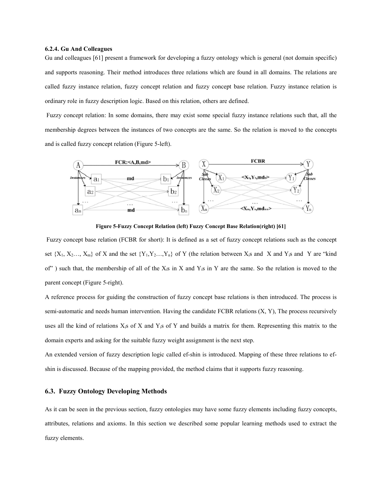#### 6.2.4. Gu And Colleagues

Gu and colleagues [61] present a framework for developing a fuzzy ontology which is general (not domain specific) and supports reasoning. Their method introduces three relations which are found in all domains. The relations are called fuzzy instance relation, fuzzy concept relation and fuzzy concept base relation. Fuzzy instance relation is ordinary role in fuzzy description logic. Based on this relation, others are defined.

Fuzzy concept relation: In some domains, there may exist some special fuzzy instance relations such that, all the membership degrees between the instances of two concepts are the same. So the relation is moved to the concepts and is called fuzzy concept relation (Figure 5-left).



Figure 5-Fuzzy Concept Relation (left) Fuzzy Concept Base Relation(right) [61]

Fuzzy concept base relation (FCBR for short): It is defined as a set of fuzzy concept relations such as the concept set  $\{X_1, X_2, \ldots, X_m\}$  of X and the set  $\{Y_1, Y_2, \ldots, Y_n\}$  of Y (the relation between  $X_i$ s and X and Y<sub>i</sub>s and Y are "kind of") such that, the membership of all of the  $X_i$ s in X and  $Y_i$ s in Y are the same. So the relation is moved to the parent concept (Figure 5-right).

A reference process for guiding the construction of fuzzy concept base relations is then introduced. The process is semi-automatic and needs human intervention. Having the candidate FCBR relations (X, Y), The process recursively uses all the kind of relations  $X_i$ s of  $X$  and  $Y_i$ s of  $Y$  and builds a matrix for them. Representing this matrix to the domain experts and asking for the suitable fuzzy weight assignment is the next step.

An extended version of fuzzy description logic called ef-shin is introduced. Mapping of these three relations to efshin is discussed. Because of the mapping provided, the method claims that it supports fuzzy reasoning.

# 6.3. Fuzzy Ontology Developing Methods

As it can be seen in the previous section, fuzzy ontologies may have some fuzzy elements including fuzzy concepts, attributes, relations and axioms. In this section we described some popular learning methods used to extract the fuzzy elements.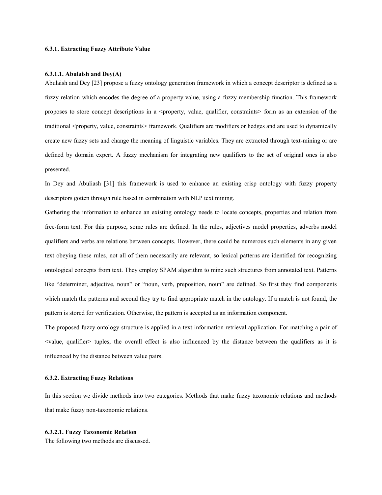# 6.3.1. Extracting Fuzzy Attribute Value

#### 6.3.1.1. Abulaish and  $Dev(A)$

Abulaish and Dey [23] propose a fuzzy ontology generation framework in which a concept descriptor is defined as a fuzzy relation which encodes the degree of a property value, using a fuzzy membership function. This framework proposes to store concept descriptions in a  $\leq$  property, value, qualifier, constraints  $\geq$  form as an extension of the traditional <property, value, constraints> framework. Qualifiers are modifiers or hedges and are used to dynamically create new fuzzy sets and change the meaning of linguistic variables. They are extracted through text-mining or are defined by domain expert. A fuzzy mechanism for integrating new qualifiers to the set of original ones is also presented.

In Dey and Abuliash [31] this framework is used to enhance an existing crisp ontology with fuzzy property descriptors gotten through rule based in combination with NLP text mining.

Gathering the information to enhance an existing ontology needs to locate concepts, properties and relation from free-form text. For this purpose, some rules are defined. In the rules, adjectives model properties, adverbs model qualifiers and verbs are relations between concepts. However, there could be numerous such elements in any given text obeying these rules, not all of them necessarily are relevant, so lexical patterns are identified for recognizing ontological concepts from text. They employ SPAM algorithm to mine such structures from annotated text. Patterns like "determiner, adjective, noun" or "noun, verb, preposition, noun" are defined. So first they find components which match the patterns and second they try to find appropriate match in the ontology. If a match is not found, the pattern is stored for verification. Otherwise, the pattern is accepted as an information component.

The proposed fuzzy ontology structure is applied in a text information retrieval application. For matching a pair of  $\le$ value, qualifier $\ge$  tuples, the overall effect is also influenced by the distance between the qualifiers as it is influenced by the distance between value pairs.

#### 6.3.2. Extracting Fuzzy Relations

In this section we divide methods into two categories. Methods that make fuzzy taxonomic relations and methods that make fuzzy non-taxonomic relations.

#### 6.3.2.1. Fuzzy Taxonomic Relation

The following two methods are discussed.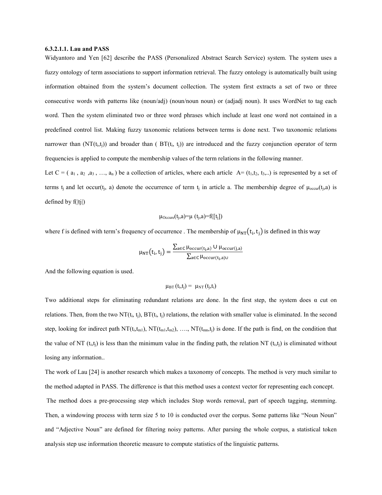#### 6.3.2.1.1. Lau and PASS

Widyantoro and Yen [62] describe the PASS (Personalized Abstract Search Service) system. The system uses a fuzzy ontology of term associations to support information retrieval. The fuzzy ontology is automatically built using information obtained from the system's document collection. The system first extracts a set of two or three consecutive words with patterns like (noun/adj) (noun/noun noun) or (adjadj noun). It uses WordNet to tag each word. Then the system eliminated two or three word phrases which include at least one word not contained in a predefined control list. Making fuzzy taxonomic relations between terms is done next. Two taxonomic relations narrower than  $(NT(t_i,t_i))$  and broader than  $( BT(t_i, t_i))$  are introduced and the fuzzy conjunction operator of term frequencies is applied to compute the membership values of the term relations in the following manner.

Let  $C = (a_1, a_2, a_3, \ldots, a_n)$  be a collection of articles, where each article  $A = (t_1, t_2, t_3, \ldots)$  is represented by a set of terms t<sub>i</sub> and let occur(t<sub>i</sub>, a) denote the occurrence of term t<sub>i</sub> in article a. The membership degree of  $\mu_{\text{occur}}(t_i, a)$  is defined by  $f(|tj|)$ 

$$
\mu_{\text{Occure}}(t_j, a) = \mu(t_j, a) = f([t_j])
$$

where f is defined with term's frequency of occurrence. The membership of  $\mu_{NT}(t_i, t_i)$  is defined in this way

$$
\mu_{NT}(t_i, t_j) = \frac{\sum_{a \in C} \mu_{occur(t_i, a)} \cup \mu_{occur(j, a)}}{\sum_{a \in C} \mu_{occur(t_i, a) \cup}}
$$

And the following equation is used.

$$
\mu_{\text{BT}}(t_i,t_j) = \mu_{\text{NT}}(t_j,t_i)
$$

Two additional steps for eliminating redundant relations are done. In the first step, the system does  $\alpha$  cut on relations. Then, from the two  $NT(t_i, t_i)$ ,  $BT(t_i, t_i)$  relations, the relation with smaller value is eliminated. In the second step, looking for indirect path  $NT(t_i,t_{m1})$ ,  $NT(t_{m1},t_{m2})$ , ….,  $NT(t_{mn},t_i)$  is done. If the path is find, on the condition that the value of NT (t<sub>i,t<sub>i</sub>) is less than the minimum value in the finding path, the relation NT (t<sub>i,ti</sub>) is eliminated without</sub> losing any information..

The work of Lau [24] is another research which makes a taxonomy of concepts. The method is very much similar to the method adapted in PASS. The difference is that this method uses a context vector for representing each concept. The method does a pre-processing step which includes Stop words removal, part of speech tagging, stemming. Then, a windowing process with term size 5 to 10 is conducted over the corpus. Some patterns like "Noun Noun" and "Adjective Noun" are defined for filtering noisy patterns. After parsing the whole corpus, a statistical token analysis step use information theoretic measure to compute statistics of the linguistic patterns.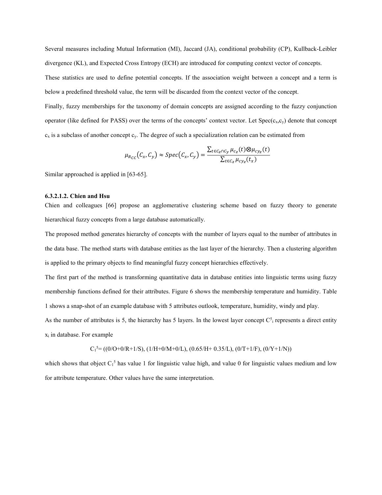Several measures including Mutual Information (MI), Jaccard (JA), conditional probability (CP), Kullback-Leibler divergence (KL), and Expected Cross Entropy (ECH) are introduced for computing context vector of concepts. These statistics are used to define potential concepts. If the association weight between a concept and a term is below a predefined threshold value, the term will be discarded from the context vector of the concept.

Finally, fuzzy memberships for the taxonomy of domain concepts are assigned according to the fuzzy conjunction operator (like defined for PASS) over the terms of the concepts' context vector. Let  $Spec(c_x,c_y)$  denote that concept  $c_x$  is a subclass of another concept  $c_y$ . The degree of such a specialization relation can be estimated from

$$
\mu_{R_{CC}}(C_x, C_y) \approx Spec(C_x, C_y) = \frac{\sum_{t \in C_z \cap C_y} \mu_{c_z}(t) \otimes \mu_{c y_z}(t)}{\sum_{t \in C_z} \mu_{c y_z}(t_x)}
$$

Similar approached is applied in [63-65].

#### 6.3.2.1.2. Chien and Hsu

Chien and colleagues [66] propose an agglomerative clustering scheme based on fuzzy theory to generate hierarchical fuzzy concepts from a large database automatically.

The proposed method generates hierarchy of concepts with the number of layers equal to the number of attributes in the data base. The method starts with database entities as the last layer of the hierarchy. Then a clustering algorithm is applied to the primary objects to find meaningful fuzzy concept hierarchies effectively.

The first part of the method is transforming quantitative data in database entities into linguistic terms using fuzzy membership functions defined for their attributes. Figure 6 shows the membership temperature and humidity. Table 1 shows a snap-shot of an example database with 5 attributes outlook, temperature, humidity, windy and play.

As the number of attributes is 5, the hierarchy has 5 layers. In the lowest layer concept  $C_1^5$  represents a direct entity xi in database. For example

$$
C_1^5 = ((0/O+0/R+1/S), (1/H+0/M+0/L), (0.65/H+0.35/L), (0/T+1/F), (0/Y+1/N))
$$

which shows that object  $C_1^5$  has value 1 for linguistic value high, and value 0 for linguistic values medium and low for attribute temperature. Other values have the same interpretation.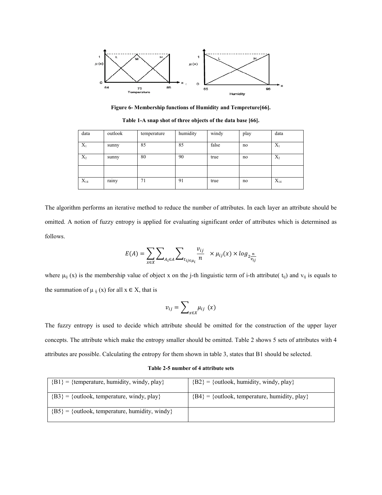

Figure 6- Membership functions of Humidity and Tempreture[66].

| data     | outlook          | temperature | humidity | windy | play | data     |
|----------|------------------|-------------|----------|-------|------|----------|
| $X_1$    | sunny            | 85          | 85       | false | no   | $X_1$    |
| $X_2$    | sunny            | 80          | 90       | true  | no   | $X_2$    |
|          |                  |             |          |       |      |          |
| $X_{14}$ | $\cdot$<br>rainy | 71          | 91       | true  | no   | $X_{14}$ |

Table 1-A snap shot of three objects of the data base [66].

The algorithm performs an iterative method to reduce the number of attributes. In each layer an attribute should be omitted. A notion of fuzzy entropy is applied for evaluating significant order of attributes which is determined as follows.

$$
E(A) = \sum_{x \in X} \sum_{A_i \in A} \sum_{t_{ij} \in \mu_i} \frac{v_{ij}}{n} \times \mu_{ij}(x) \times \log_2 \frac{n}{v_{ij}}
$$

where  $\mu_{ij}$  (x) is the membership value of object x on the j-th linguistic term of i-th attribute( $t_{ij}$ ) and  $v_{ij}$  is equals to the summation of  $\mu_{ij}(x)$  for all  $x \in X$ , that is

$$
v_{ij}=\sum\nolimits_{x\in X}\!\mu_{ij}\,\left( x\right)
$$

The fuzzy entropy is used to decide which attribute should be omitted for the construction of the upper layer concepts. The attribute which make the entropy smaller should be omitted. Table 2 shows 5 sets of attributes with 4 attributes are possible. Calculating the entropy for them shown in table 3, states that B1 should be selected.

#### Table 2-5 number of 4 attribute sets

| ${B1} = {temperature, humidity, window, play}$    | ${B2} = {outlook, humidity, window, play}$      |
|---------------------------------------------------|-------------------------------------------------|
| ${B3} = {outlook, temperature, windy, play}$      | ${B4} = {outlook, temperature, humidity, play}$ |
| ${B5} = {outlook, temperature, humidity, window}$ |                                                 |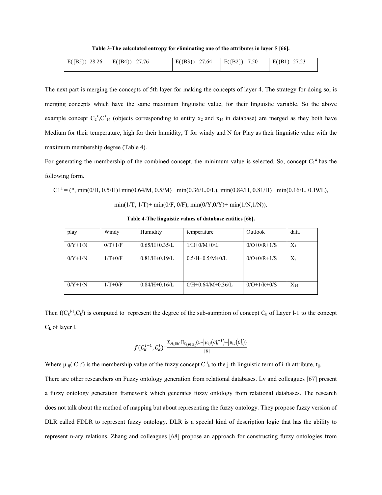Table 3-The calculated entropy for eliminating one of the attributes in layer 5 [66].

| $E({B5})=28.26$ $E({B4})=27.76$ | $E({B3})=27.64$ | $E(\{B2\})=7.50$ | $E(\{B1\} = 27.23$ |
|---------------------------------|-----------------|------------------|--------------------|
|                                 |                 |                  |                    |

The next part is merging the concepts of 5th layer for making the concepts of layer 4. The strategy for doing so, is merging concepts which have the same maximum linguistic value, for their linguistic variable. So the above example concept  $C_2^5$ , $C_{14}^5$  (objects corresponding to entity x<sub>2</sub> and x<sub>14</sub> in database) are merged as they both have Medium for their temperature, high for their humidity, T for windy and N for Play as their linguistic value with the maximum membership degree (Table 4).

For generating the membership of the combined concept, the minimum value is selected. So, concept  $C_1^4$  has the following form.

 $C1<sup>4</sup> = (*, min(0/H, 0.5/H) + min(0.64/M, 0.5/M) + min(0.36/L, 0/L), min(0.84/H, 0.81/H) + min(0.16/L, 0.19/L),$ 

min(1/T, 1/T)+ min(0/F, 0/F), min(0/Y, 0/Y)+ min(1/N, 1/N)).

| play      | Windy     | Humidity        | temperature             | Outlook       | data     |
|-----------|-----------|-----------------|-------------------------|---------------|----------|
| $0/Y+1/N$ | $0/T+1/F$ | $0.65/H+0.35/L$ | $1/H + 0/M + 0/L$       | $0/O+0/R+1/S$ | $X_1$    |
| $0/Y+1/N$ | $1/T+0/F$ | $0.81/H+0.19/L$ | $0.5/H + 0.5/M + 0/L$   | $0/O+0/R+1/S$ | $X_2$    |
|           |           |                 |                         |               |          |
| $0/Y+1/N$ | $1/T+0/F$ | $0.84/H+0.16/L$ | $0/H + 0.64/M + 0.36/L$ | $0/O+1/R+0/S$ | $X_{14}$ |

Table 4-The linguistic values of database entities [66].

Then  $f(C_k^{l-1}, C_k^l)$  is computed to represent the degree of the sub-sumption of concept  $C_k$  of Layer l-1 to the concept  $C_k$  of layer l.

$$
f(C_k^{l-1}, C_k^l) = \frac{\sum_{A_i \in B} \prod_{t_{ij \in \mu_i}} (1 - |\mu_{ij}(C_k^{l-1}) - |\mu_{ij}(C_k^l))}{|B|}
$$

Where  $\mu_{ij}(C_i^k)$  is the membership value of the fuzzy concept C  $\frac{1}{k}$  to the j-th linguistic term of i-th attribute, t<sub>ij</sub>.

There are other researchers on Fuzzy ontology generation from relational databases. Lv and colleagues [67] present a fuzzy ontology generation framework which generates fuzzy ontology from relational databases. The research does not talk about the method of mapping but about representing the fuzzy ontology. They propose fuzzy version of DLR called FDLR to represent fuzzy ontology. DLR is a special kind of description logic that has the ability to represent n-ary relations. Zhang and colleagues [68] propose an approach for constructing fuzzy ontologies from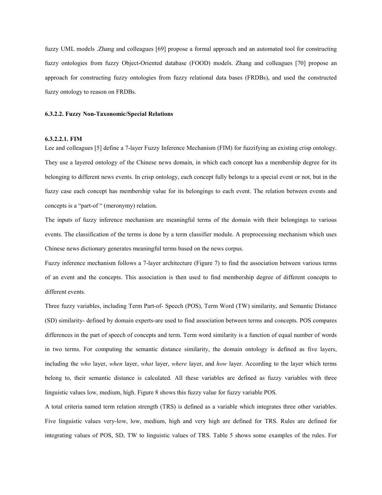fuzzy UML models .Zhang and colleagues [69] propose a formal approach and an automated tool for constructing fuzzy ontologies from fuzzy Object-Oriented database (FOOD) models. Zhang and colleagues [70] propose an approach for constructing fuzzy ontologies from fuzzy relational data bases (FRDBs), and used the constructed fuzzy ontology to reason on FRDBs.

#### 6.3.2.2. Fuzzy Non-Taxonomic/Special Relations

# 6.3.2.2.1. FIM

Lee and colleagues [5] define a 7-layer Fuzzy Inference Mechanism (FIM) for fuzzifying an existing crisp ontology. They use a layered ontology of the Chinese news domain, in which each concept has a membership degree for its belonging to different news events. In crisp ontology, each concept fully belongs to a special event or not, but in the fuzzy case each concept has membership value for its belongings to each event. The relation between events and concepts is a "part-of " (meronymy) relation.

The inputs of fuzzy inference mechanism are meaningful terms of the domain with their belongings to various events. The classification of the terms is done by a term classifier module. A preprocessing mechanism which uses Chinese news dictionary generates meaningful terms based on the news corpus.

Fuzzy inference mechanism follows a 7-layer architecture (Figure 7) to find the association between various terms of an event and the concepts. This association is then used to find membership degree of different concepts to different events.

Three fuzzy variables, including Term Part-of- Speech (POS), Term Word (TW) similarity, and Semantic Distance (SD) similarity- defined by domain experts-are used to find association between terms and concepts. POS compares differences in the part of speech of concepts and term. Term word similarity is a function of equal number of words in two terms. For computing the semantic distance similarity, the domain ontology is defined as five layers, including the *who* layer, *when* layer, *what* layer, *where* layer, and *how* layer. According to the layer which terms belong to, their semantic distance is calculated. All these variables are defined as fuzzy variables with three linguistic values low, medium, high. Figure 8 shows this fuzzy value for fuzzy variable POS.

A total criteria named term relation strength (TRS) is defined as a variable which integrates three other variables. Five linguistic values very-low, low, medium, high and very high are defined for TRS. Rules are defined for integrating values of POS, SD, TW to linguistic values of TRS. Table 5 shows some examples of the rules. For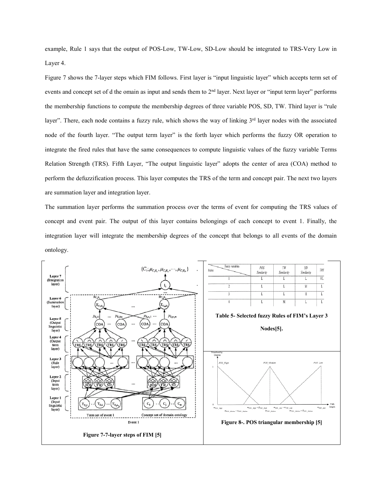example, Rule 1 says that the output of POS-Low, TW-Low, SD-Low should be integrated to TRS-Very Low in Layer 4.

Figure 7 shows the 7-layer steps which FIM follows. First layer is "input linguistic layer" which accepts term set of events and concept set of d the omain as input and sends them to 2<sup>nd</sup> layer. Next layer or "input term layer" performs the membership functions to compute the membership degrees of three variable POS, SD, TW. Third layer is "rule layer". There, each node contains a fuzzy rule, which shows the way of linking 3<sup>rd</sup> layer nodes with the associated node of the fourth layer. "The output term layer" is the forth layer which performs the fuzzy OR operation to integrate the fired rules that have the same consequences to compute linguistic values of the fuzzy variable Terms Relation Strength (TRS). Fifth Layer, "The output linguistic layer" adopts the center of area (COA) method to perform the defuzzification process. This layer computes the TRS of the term and concept pair. The next two layers are summation layer and integration layer.

The summation layer performs the summation process over the terms of event for computing the TRS values of concept and event pair. The output of this layer contains belongings of each concept to event 1. Finally, the integration layer will integrate the membership degrees of the concept that belongs to all events of the domain ontology.

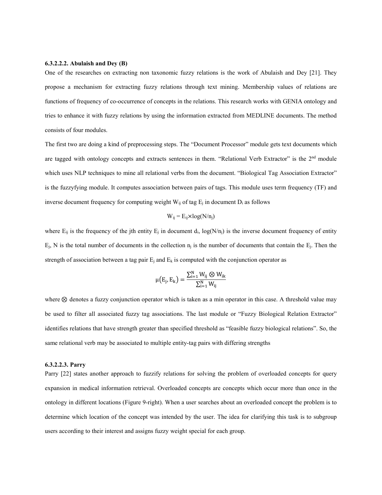#### 6.3.2.2.2. Abulaish and Dey (B)

One of the researches on extracting non taxonomic fuzzy relations is the work of Abulaish and Dey [21]. They propose a mechanism for extracting fuzzy relations through text mining. Membership values of relations are functions of frequency of co-occurrence of concepts in the relations. This research works with GENIA ontology and tries to enhance it with fuzzy relations by using the information extracted from MEDLINE documents. The method consists of four modules.

The first two are doing a kind of preprocessing steps. The "Document Processor" module gets text documents which are tagged with ontology concepts and extracts sentences in them. "Relational Verb Extractor" is the 2nd module which uses NLP techniques to mine all relational verbs from the document. "Biological Tag Association Extractor" is the fuzzyfying module. It computes association between pairs of tags. This module uses term frequency (TF) and inverse document frequency for computing weight  $W_{ii}$  of tag  $E_i$  in document  $D_i$  as follows

$$
W_{ij} = E_{ij} \times log(N/n_j)
$$

where  $E_{ii}$  is the frequency of the jth entity  $E_i$  in document d<sub>i</sub>, log(N/n<sub>i</sub>) is the inverse document frequency of entity  $E_j$ , N is the total number of documents in the collection  $n_j$  is the number of documents that contain the  $E_i$ . Then the strength of association between a tag pair  $E_i$  and  $E_k$  is computed with the conjunction operator as

$$
\mu\big(\mathrm{E}_j,\mathrm{E}_k\big)=\frac{\sum_{i=1}^N W_{ij}\otimes W_{ik}}{\sum_{i=1}^N W_{ij}}
$$

where ⊗ denotes a fuzzy conjunction operator which is taken as a min operator in this case. A threshold value may be used to filter all associated fuzzy tag associations. The last module or "Fuzzy Biological Relation Extractor" identifies relations that have strength greater than specified threshold as "feasible fuzzy biological relations". So, the same relational verb may be associated to multiple entity-tag pairs with differing strengths

#### 6.3.2.2.3. Parry

Parry [22] states another approach to fuzzify relations for solving the problem of overloaded concepts for query expansion in medical information retrieval. Overloaded concepts are concepts which occur more than once in the ontology in different locations (Figure 9-right). When a user searches about an overloaded concept the problem is to determine which location of the concept was intended by the user. The idea for clarifying this task is to subgroup users according to their interest and assigns fuzzy weight special for each group.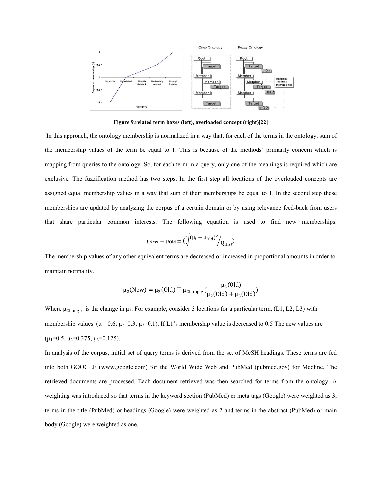

Figure 9.related term boxes (left), overloaded concept (right)[22]

In this approach, the ontology membership is normalized in a way that, for each of the terms in the ontology, sum of the membership values of the term be equal to 1. This is because of the methods' primarily concern which is mapping from queries to the ontology. So, for each term in a query, only one of the meanings is required which are exclusive. The fuzzification method has two steps. In the first step all locations of the overloaded concepts are assigned equal membership values in a way that sum of their memberships be equal to 1. In the second step these memberships are updated by analyzing the corpus of a certain domain or by using relevance feed-back from users that share particular common interests. The following equation is used to find new memberships.

$$
\mu_{\text{New}} = \mu_{\text{Old}} \pm \left(\sqrt[2]{\left(\mu_i - \mu_{\text{Old}}\right)^2 / Q_{\text{Hist}}}\right)
$$

The membership values of any other equivalent terms are decreased or increased in proportional amounts in order to maintain normality.

$$
\mu_2(\text{New}) = \mu_2(\text{Old}) \mp \mu_{\text{Change}} \cdot \left(\frac{\mu_2(\text{Old})}{\mu_2(\text{Old}) + \mu_3(\text{Old})}\right)
$$

Where  $\mu_{\text{Change}}$  is the change in  $\mu_1$ . For example, consider 3 locations for a particular term, (L1, L2, L3) with membership values ( $\mu_1=0.6$ ,  $\mu_2=0.3$ ,  $\mu_3=0.1$ ). If L1's membership value is decreased to 0.5 The new values are  $(\mu_1=0.5, \mu_2=0.375, \mu_3=0.125).$ 

In analysis of the corpus, initial set of query terms is derived from the set of MeSH headings. These terms are fed into both GOOGLE (www.google.com) for the World Wide Web and PubMed (pubmed.gov) for Medline. The retrieved documents are processed. Each document retrieved was then searched for terms from the ontology. A weighting was introduced so that terms in the keyword section (PubMed) or meta tags (Google) were weighted as 3, terms in the title (PubMed) or headings (Google) were weighted as 2 and terms in the abstract (PubMed) or main body (Google) were weighted as one.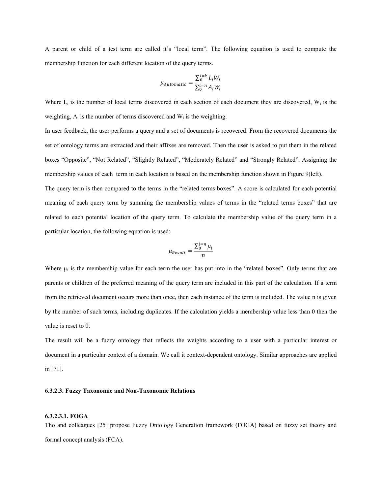A parent or child of a test term are called it's "local term". The following equation is used to compute the membership function for each different location of the query terms.

$$
\mu_{Automatic} = \frac{\sum_{0}^{i=k} L_i W_i}{\sum_{0}^{i=n} A_i W_i}
$$

Where  $L_i$  is the number of local terms discovered in each section of each document they are discovered,  $W_i$  is the weighting,  $A_i$  is the number of terms discovered and  $W_i$  is the weighting.

In user feedback, the user performs a query and a set of documents is recovered. From the recovered documents the set of ontology terms are extracted and their affixes are removed. Then the user is asked to put them in the related boxes "Opposite", "Not Related", "Slightly Related", "Moderately Related" and "Strongly Related". Assigning the membership values of each term in each location is based on the membership function shown in Figure 9(left).

The query term is then compared to the terms in the "related terms boxes". A score is calculated for each potential meaning of each query term by summing the membership values of terms in the "related terms boxes" that are related to each potential location of the query term. To calculate the membership value of the query term in a particular location, the following equation is used:

$$
\mu_{Result} = \frac{\sum_{0}^{i=n} \mu_{i}}{n}
$$

Where  $\mu_i$  is the membership value for each term the user has put into in the "related boxes". Only terms that are parents or children of the preferred meaning of the query term are included in this part of the calculation. If a term from the retrieved document occurs more than once, then each instance of the term is included. The value n is given by the number of such terms, including duplicates. If the calculation yields a membership value less than 0 then the value is reset to 0.

The result will be a fuzzy ontology that reflects the weights according to a user with a particular interest or document in a particular context of a domain. We call it context-dependent ontology. Similar approaches are applied in [71].

#### 6.3.2.3. Fuzzy Taxonomic and Non-Taxonomic Relations

#### 6.3.2.3.1. FOGA

Tho and colleagues [25] propose Fuzzy Ontology Generation framework (FOGA) based on fuzzy set theory and formal concept analysis (FCA).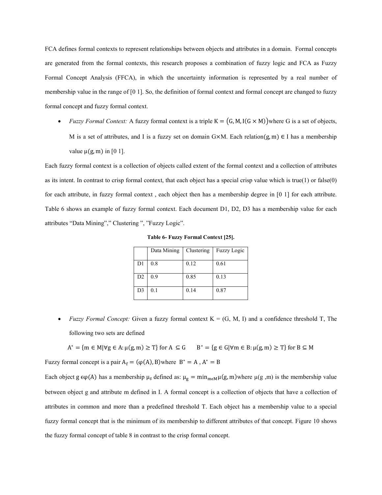FCA defines formal contexts to represent relationships between objects and attributes in a domain. Formal concepts are generated from the formal contexts, this research proposes a combination of fuzzy logic and FCA as Fuzzy Formal Concept Analysis (FFCA), in which the uncertainty information is represented by a real number of membership value in the range of [0 1]. So, the definition of formal context and formal concept are changed to fuzzy formal concept and fuzzy formal context.

*Fuzzy Formal Context:* A fuzzy formal context is a triple  $K = (G, M, I(G \times M))$  where G is a set of objects, M is a set of attributes, and I is a fuzzy set on domain G×M. Each relation $(g, m) \in I$  has a membership value  $\mu(g, m)$  in [0 1].

Each fuzzy formal context is a collection of objects called extent of the formal context and a collection of attributes as its intent. In contrast to crisp formal context, that each object has a special crisp value which is true(1) or false(0) for each attribute, in fuzzy formal context , each object then has a membership degree in [0 1] for each attribute. Table 6 shows an example of fuzzy formal context. Each document D1, D2, D3 has a membership value for each attributes "Data Mining"," Clustering ", "Fuzzy Logic".

Table 6- Fuzzy Formal Context [25].

|                | Data Mining | Clustering | Fuzzy Logic |
|----------------|-------------|------------|-------------|
| D <sub>1</sub> | 0.8         | 0.12       | 0.61        |
| D <sub>2</sub> | 0.9         | 0.85       | 0.13        |
| D <sub>3</sub> | 0.1         | 0.14       | 0.87        |

*Fuzzy Formal Concept:* Given a fuzzy formal context  $K = (G, M, I)$  and a confidence threshold T, The following two sets are defined

$$
A^* = \{ m \in M | \forall g \in A : \mu(g, m) \ge T \} \text{ for } A \subseteq G \qquad B^* = \{ g \in G | \forall m \in B : \mu(g, m) \ge T \} \text{ for } B \subseteq M
$$

Fuzzy formal concept is a pair  $A_f = (\varphi(A), B)$ where  $B^* = A$ ,  $A^* = B$ 

Each object g  $\epsilon\varphi(A)$  has a membership  $\mu_g$  defined as:  $\mu_g = \min_{m \in M} \mu(g, m)$  where  $\mu(g, m)$  is the membership value between object g and attribute m defined in I. A formal concept is a collection of objects that have a collection of attributes in common and more than a predefined threshold T. Each object has a membership value to a special fuzzy formal concept that is the minimum of its membership to different attributes of that concept. Figure 10 shows the fuzzy formal concept of table 8 in contrast to the crisp formal concept.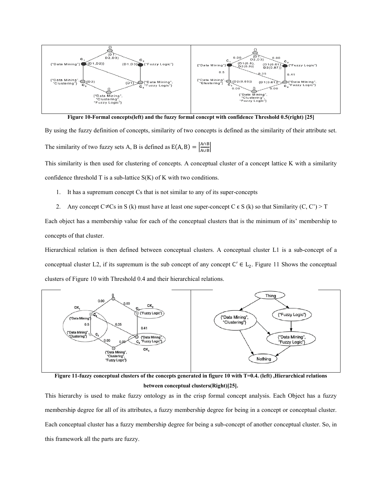

Figure 10-Formal concepts(left) and the fuzzy formal concept with confidence Threshold 0.5(right) [25]

By using the fuzzy definition of concepts, similarity of two concepts is defined as the similarity of their attribute set. The similarity of two fuzzy sets A, B is defined as  $E(A, B) = \left| \frac{A \cap B}{A \cap B} \right|$  $\frac{A||B}{A \cup B}$ 

This similarity is then used for clustering of concepts. A conceptual cluster of a concept lattice K with a similarity confidence threshold  $T$  is a sub-lattice  $S(K)$  of  $K$  with two conditions.

- 1. It has a supremum concept Cs that is not similar to any of its super-concepts
- 2. Any concept C  $\neq$  Cs in S (k) must have at least one super-concept C  $\epsilon$  S (k) so that Similarity (C, C') > T

Each object has a membership value for each of the conceptual clusters that is the minimum of its' membership to concepts of that cluster.

Hierarchical relation is then defined between conceptual clusters. A conceptual cluster L1 is a sub-concept of a conceptual cluster L2, if its supremum is the sub concept of any concept  $C' \in L_2$ . Figure 11 Shows the conceptual clusters of Figure 10 with Threshold 0.4 and their hierarchical relations.



Figure 11-fuzzy conceptual clusters of the concepts generated in figure 10 with T=0.4. (left) ,Hierarchical relations between conceptual clusters(Right)[25].

This hierarchy is used to make fuzzy ontology as in the crisp formal concept analysis. Each Object has a fuzzy membership degree for all of its attributes, a fuzzy membership degree for being in a concept or conceptual cluster. Each conceptual cluster has a fuzzy membership degree for being a sub-concept of another conceptual cluster. So, in this framework all the parts are fuzzy.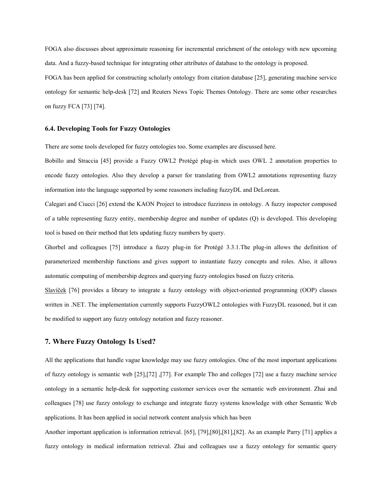FOGA also discusses about approximate reasoning for incremental enrichment of the ontology with new upcoming data. And a fuzzy-based technique for integrating other attributes of database to the ontology is proposed.

FOGA has been applied for constructing scholarly ontology from citation database [25], generating machine service ontology for semantic help-desk [72] and Reuters News Topic Themes Ontology. There are some other researches on fuzzy FCA [73] [74].

#### 6.4. Developing Tools for Fuzzy Ontologies

There are some tools developed for fuzzy ontologies too. Some examples are discussed here.

Bobillo and Straccia [45] provide a Fuzzy OWL2 Protégé plug-in which uses OWL 2 annotation properties to encode fuzzy ontologies. Also they develop a parser for translating from OWL2 annotations representing fuzzy information into the language supported by some reasoners including fuzzyDL and DeLorean.

Calegari and Ciucci [26] extend the KAON Project to introduce fuzziness in ontology. A fuzzy inspector composed of a table representing fuzzy entity, membership degree and number of updates (Q) is developed. This developing tool is based on their method that lets updating fuzzy numbers by query.

Ghorbel and colleagues [75] introduce a fuzzy plug-in for Protégé 3.3.1.The plug-in allows the definition of parameterized membership functions and gives support to instantiate fuzzy concepts and roles. Also, it allows automatic computing of membership degrees and querying fuzzy ontologies based on fuzzy criteria.

Slavíček [76] provides a library to integrate a fuzzy ontology with object-oriented programming (OOP) classes written in .NET. The implementation currently supports FuzzyOWL2 ontologies with FuzzyDL reasoned, but it can be modified to support any fuzzy ontology notation and fuzzy reasoner.

# 7. Where Fuzzy Ontology Is Used?

All the applications that handle vague knowledge may use fuzzy ontologies. One of the most important applications of fuzzy ontology is semantic web [25],[72] ,[77]. For example Tho and colleges [72] use a fuzzy machine service ontology in a semantic help-desk for supporting customer services over the semantic web environment. Zhai and colleagues [78] use fuzzy ontology to exchange and integrate fuzzy systems knowledge with other Semantic Web applications. It has been applied in social network content analysis which has been

Another important application is information retrieval. [65], [79],[80],[81],[82]. As an example Parry [71] applies a fuzzy ontology in medical information retrieval. Zhai and colleagues use a fuzzy ontology for semantic query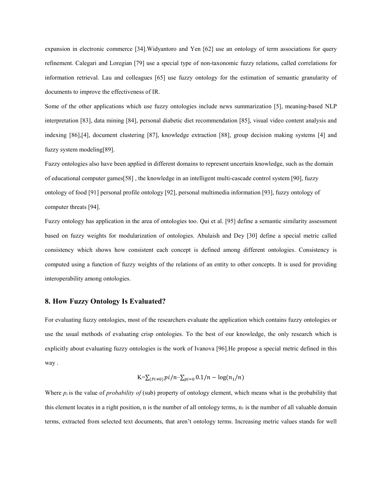expansion in electronic commerce [34].Widyantoro and Yen [62] use an ontology of term associations for query refinement. Calegari and Loregian [79] use a special type of non-taxonomic fuzzy relations, called correlations for information retrieval. Lau and colleagues [65] use fuzzy ontology for the estimation of semantic granularity of documents to improve the effectiveness of IR.

Some of the other applications which use fuzzy ontologies include news summarization [5], meaning-based NLP interpretation [83], data mining [84], personal diabetic diet recommendation [85], visual video content analysis and indexing [86],[4], document clustering [87], knowledge extraction [88], group decision making systems [4] and fuzzy system modeling[89].

Fuzzy ontologies also have been applied in different domains to represent uncertain knowledge, such as the domain of educational computer games[58] , the knowledge in an intelligent multi-cascade control system [90], fuzzy ontology of food [91] personal profile ontology [92], personal multimedia information [93], fuzzy ontology of computer threats [94].

Fuzzy ontology has application in the area of ontologies too. Qui et al. [95] define a semantic similarity assessment based on fuzzy weights for modularization of ontologies. Abulaish and Dey [30] define a special metric called consistency which shows how consistent each concept is defined among different ontologies. Consistency is computed using a function of fuzzy weights of the relations of an entity to other concepts. It is used for providing interoperability among ontologies.

#### 8. How Fuzzy Ontology Is Evaluated?

For evaluating fuzzy ontologies, most of the researchers evaluate the application which contains fuzzy ontologies or use the usual methods of evaluating crisp ontologies. To the best of our knowledge, the only research which is explicitly about evaluating fuzzy ontologies is the work of Ivanova [96].He propose a special metric defined in this way .

$$
K = \sum_{(Pi \neq 0)} pi/n - \sum_{pi=0} 0.1/n - \log(n_1/n)
$$

Where  $p_i$  is the value of *probability* of (sub) property of ontology element, which means what is the probability that this element locates in a right position, n is the number of all ontology terms,  $n_1$  is the number of all valuable domain terms, extracted from selected text documents, that aren't ontology terms. Increasing metric values stands for well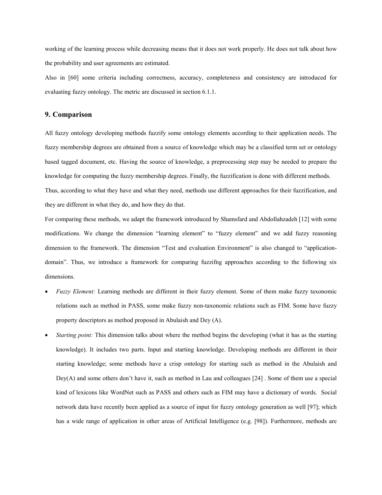working of the learning process while decreasing means that it does not work properly. He does not talk about how the probability and user agreements are estimated.

Also in [60] some criteria including correctness, accuracy, completeness and consistency are introduced for evaluating fuzzy ontology. The metric are discussed in section 6.1.1.

# 9. Comparison

All fuzzy ontology developing methods fuzzify some ontology elements according to their application needs. The fuzzy membership degrees are obtained from a source of knowledge which may be a classified term set or ontology based tagged document, etc. Having the source of knowledge, a preprocessing step may be needed to prepare the knowledge for computing the fuzzy membership degrees. Finally, the fuzzification is done with different methods.

Thus, according to what they have and what they need, methods use different approaches for their fuzzification, and they are different in what they do, and how they do that.

For comparing these methods, we adapt the framework introduced by Shamsfard and Abdollahzadeh [12] with some modifications. We change the dimension "learning element" to "fuzzy element" and we add fuzzy reasoning dimension to the framework. The dimension "Test and evaluation Environment" is also changed to "applicationdomain". Thus, we introduce a framework for comparing fuzzifng approaches according to the following six dimensions.

- *Fuzzy Element:* Learning methods are different in their fuzzy element. Some of them make fuzzy taxonomic relations such as method in PASS, some make fuzzy non-taxonomic relations such as FIM. Some have fuzzy property descriptors as method proposed in Abulaish and Dey (A).
- *Starting point:* This dimension talks about where the method begins the developing (what it has as the starting knowledge). It includes two parts. Input and starting knowledge. Developing methods are different in their starting knowledge; some methods have a crisp ontology for starting such as method in the Abulaish and Dey(A) and some others don't have it, such as method in Lau and colleagues [24] . Some of them use a special kind of lexicons like WordNet such as PASS and others such as FIM may have a dictionary of words. Social network data have recently been applied as a source of input for fuzzy ontology generation as well [97]; which has a wide range of application in other areas of Artificial Intelligence (e.g. [98]). Furthermore, methods are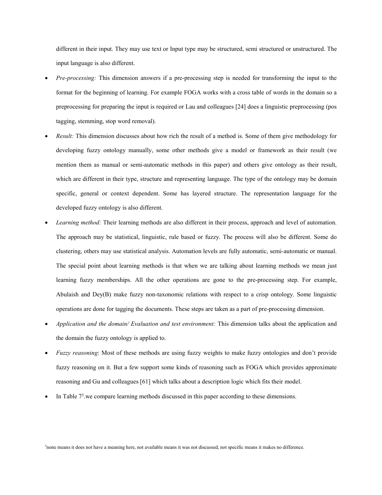different in their input. They may use text or Input type may be structured, semi structured or unstructured. The input language is also different.

- *Pre-processing:* This dimension answers if a pre-processing step is needed for transforming the input to the format for the beginning of learning. For example FOGA works with a cross table of words in the domain so a preprocessing for preparing the input is required or Lau and colleagues [24] does a linguistic preprocessing (pos tagging, stemming, stop word removal).
- *Result:* This dimension discusses about how rich the result of a method is. Some of them give methodology for developing fuzzy ontology manually, some other methods give a model or framework as their result (we mention them as manual or semi-automatic methods in this paper) and others give ontology as their result, which are different in their type, structure and representing language. The type of the ontology may be domain specific, general or context dependent. Some has layered structure. The representation language for the developed fuzzy ontology is also different.
- *Learning method:* Their learning methods are also different in their process, approach and level of automation. The approach may be statistical, linguistic, rule based or fuzzy. The process will also be different. Some do clustering, others may use statistical analysis. Automation levels are fully automatic, semi-automatic or manual. The special point about learning methods is that when we are talking about learning methods we mean just learning fuzzy memberships. All the other operations are gone to the pre-processing step. For example, Abulaish and Dey(B) make fuzzy non-taxonomic relations with respect to a crisp ontology. Some linguistic operations are done for tagging the documents. These steps are taken as a part of pre-processing dimension.
- *Application and the domain/ Evaluation and test environment:* This dimension talks about the application and the domain the fuzzy ontology is applied to.
- *Fuzzy reasoning*: Most of these methods are using fuzzy weights to make fuzzy ontologies and don't provide fuzzy reasoning on it. But a few support some kinds of reasoning such as FOGA which provides approximate reasoning and Gu and colleagues [61] which talks about a description logic which fits their model.
- $\bullet$  In Table  $7<sup>3</sup>$  we compare learning methods discussed in this paper according to these dimensions.

<sup>3</sup>none means it does not have a meaning here, not available means it was not discussed, not specific means it makes no difference.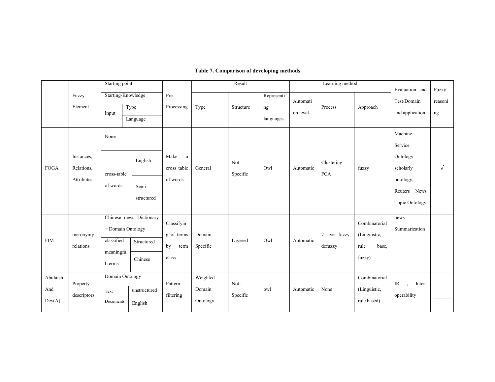# Table 7. Comparison of developing methods

|                           |                                        | Starting point                       |                                                                       |                                                 | Result                         |                  | Learning method               |                      |                           | Evaluation and                                           | Fuzzy                                                                                                           |                          |
|---------------------------|----------------------------------------|--------------------------------------|-----------------------------------------------------------------------|-------------------------------------------------|--------------------------------|------------------|-------------------------------|----------------------|---------------------------|----------------------------------------------------------|-----------------------------------------------------------------------------------------------------------------|--------------------------|
|                           | Fuzzy<br>Element                       | Input                                | Starting-Knowledge<br>Type<br>Language                                | Pre-<br>Processing                              | Type                           | Structure        | Representi<br>ng<br>languages | Automati<br>on level | Process                   | Approach                                                 | Test/Domain<br>and application                                                                                  | reasoni<br>ng            |
| <b>FOGA</b>               | Instances,<br>Relations,<br>Attributes | None<br>cross-table<br>of words      | English<br>Semi-<br>structured                                        | Make<br>a<br>cross table<br>of words            | General                        | Not-<br>Specific | Owl                           | Automatic            | Clustering<br><b>FCA</b>  | fuzzy                                                    | Machine<br>Service<br>Ontology<br>$\cdot$<br>scholarly<br>ontology,<br>Reuters<br><b>News</b><br>Topic Ontology | $\sqrt{ }$               |
| <b>FIM</b>                | meronymy<br>relations                  | classified<br>meaningfu<br>1 terms   | Chinese news Dictionary<br>+ Domain Ontology<br>Structured<br>Chinese | Classifyin<br>g of terms<br>by<br>term<br>class | Domain<br>Specific             | Layered          | Owl                           | Automatic            | 7 layer fuzzy,<br>defuzzy | Combinatorial<br>(Linguistic,<br>rule<br>base,<br>fuzzy) | news<br>Summarization                                                                                           | $\overline{\phantom{a}}$ |
| Abulaish<br>And<br>Dev(A) | Property<br>descriptors                | Domain Ontology<br>Text<br>Documents | unstructured<br>English                                               | Pattern<br>filtering                            | Weighted<br>Domain<br>Ontology | Not-<br>Specific | owl                           | Automatic            | None                      | Combinatorial<br>(Linguistic,<br>rule based)             | $_{\text{IR}}$<br>Inter-<br>$\cdot$<br>operability                                                              |                          |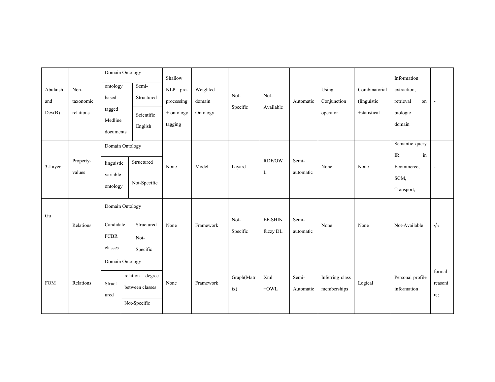|                           |                                | Domain Ontology                                        |                                                    | Shallow                                         |                                |                   |                            |                    |                                  |                                               | Information                                                       |                         |
|---------------------------|--------------------------------|--------------------------------------------------------|----------------------------------------------------|-------------------------------------------------|--------------------------------|-------------------|----------------------------|--------------------|----------------------------------|-----------------------------------------------|-------------------------------------------------------------------|-------------------------|
| Abulaish<br>and<br>Dev(B) | Non-<br>taxonomic<br>relations | ontology<br>based<br>tagged<br>Medline<br>documents    | Semi-<br>Structured<br>Scientific<br>English       | NLP pre-<br>processing<br>+ ontology<br>tagging | Weighted<br>domain<br>Ontology | Not-<br>Specific  | Not-<br>Available          | Automatic          | Using<br>Conjunction<br>operator | Combinatorial<br>(linguistic)<br>+statistical | extraction,<br>retrieval<br>on<br>biologic<br>domain              | ÷,                      |
| 3-Layer                   | Property-<br>values            | Domain Ontology<br>linguistic<br>variable<br>ontology  | Structured<br>Not-Specific                         | None                                            | Model                          | Layard            | <b>RDF/OW</b><br>L         | Semi-<br>automatic | None                             | None                                          | Semantic query<br>IR<br>$\operatorname{in}$<br>Ecommerce,<br>SCM, | $\overline{a}$          |
|                           |                                |                                                        |                                                    |                                                 |                                |                   |                            |                    |                                  |                                               | Transport,                                                        |                         |
| Gu                        | Relations                      | Domain Ontology<br>Candidate<br><b>FCBR</b><br>classes | Structured<br>Not-<br>Specific                     | None                                            | Framework                      | Not-<br>Specific  | <b>EF-SHIN</b><br>fuzzy DL | Semi-<br>automatic | None                             | None                                          | Not-Available                                                     | $\sqrt{x}$              |
| <b>FOM</b>                | Relations                      | Domain Ontology<br>Struct<br>ured                      | relation degree<br>between classes<br>Not-Specific | None                                            | Framework                      | Graph(Matr<br>ix) | Xml<br>$+OWL$              | Semi-<br>Automatic | Inferring class<br>memberships   | Logical                                       | Personal profile<br>information                                   | formal<br>reasoni<br>ng |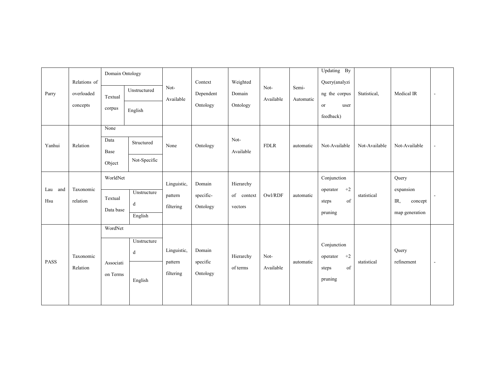| Parry             | Relations of<br>overloaded<br>concepts | Domain Ontology<br>Textual<br>corpus | Unstructured<br>English     | Not-<br>Available                   | Context<br>Dependent<br>Ontology | Weighted<br>Domain<br>Ontology     | Not-<br>Available | Semi-<br>Automatic | Updating By<br>Query(analyzi<br>ng the corpus<br><b>or</b><br>user<br>feedback) | Statistical,  | Medical IR                                             | $\overline{\phantom{a}}$ |
|-------------------|----------------------------------------|--------------------------------------|-----------------------------|-------------------------------------|----------------------------------|------------------------------------|-------------------|--------------------|---------------------------------------------------------------------------------|---------------|--------------------------------------------------------|--------------------------|
| Yanhui            | Relation                               | None<br>Data<br>Base<br>Object       | Structured<br>Not-Specific  | None                                | Ontology                         | Not-<br>Available                  | <b>FDLR</b>       | automatic          | Not-Available                                                                   | Not-Available | Not-Available                                          |                          |
| Lau<br>and<br>Hsu | Taxonomic<br>relation                  | WorldNet<br>Textual<br>Data base     | Unstructure<br>d<br>English | Linguistic,<br>pattern<br>filtering | Domain<br>specific-<br>Ontology  | Hierarchy<br>of context<br>vectors | Owl/RDF           | automatic          | Conjunction<br>$+2$<br>operator<br>of<br>steps<br>pruning                       | statistical   | Query<br>expansion<br>IR,<br>concept<br>map generation | $\sim$                   |
| <b>PASS</b>       | Taxonomic<br>Relation                  | WordNet<br>Associati<br>on Terms     | Unstructure<br>d<br>English | Linguistic,<br>pattern<br>filtering | Domain<br>specific<br>Ontology   | Hierarchy<br>of terms              | Not-<br>Available | automatic          | Conjunction<br>$+2$<br>operator<br>of<br>steps<br>pruning                       | statistical   | Query<br>refinement                                    | $\blacksquare$           |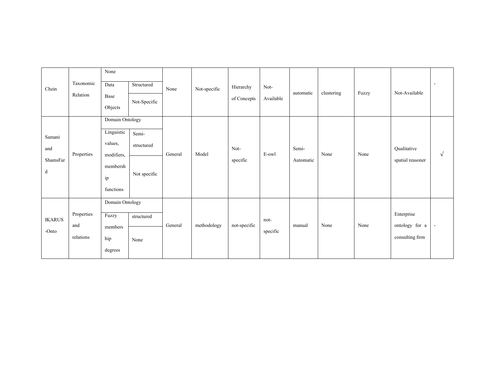| Chein                          | Taxonomic<br>Relation          | None<br>Data<br>Base<br>Objects                                                       | Structured<br>Not-Specific          | None    | Not-specific | Hierarchy<br>of Concepts | Not-<br>Available | automatic          | clustering | Fuzzy | Not-Available                                   |            |
|--------------------------------|--------------------------------|---------------------------------------------------------------------------------------|-------------------------------------|---------|--------------|--------------------------|-------------------|--------------------|------------|-------|-------------------------------------------------|------------|
| Samani<br>and<br>ShamsFar<br>d | Properties                     | Domain Ontology<br>Linguistic<br>values,<br>modifiers,<br>membersh<br>ip<br>functions | Semi-<br>structured<br>Not specific | General | Model        | Not-<br>specific         | E-owl             | Semi-<br>Automatic | None       | None  | Qualitative<br>spatial reasoner                 | $\sqrt{ }$ |
| <b>IKARUS</b><br>-Onto         | Properties<br>and<br>relations | Domain Ontology<br>Fuzzy<br>members<br>hip<br>degrees                                 | structured<br>None                  | General | methodology  | not-specific             | not-<br>specific  | manual             | None       | None  | Enterprise<br>ontology for a<br>consulting firm |            |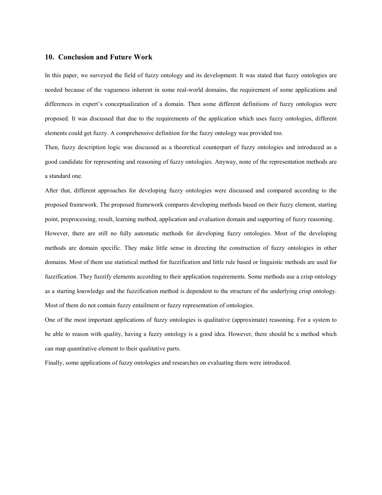# 10. Conclusion and Future Work

In this paper, we surveyed the field of fuzzy ontology and its development. It was stated that fuzzy ontologies are needed because of the vagueness inherent in some real-world domains, the requirement of some applications and differences in expert's conceptualization of a domain. Then some different definitions of fuzzy ontologies were proposed. It was discussed that due to the requirements of the application which uses fuzzy ontologies, different elements could get fuzzy. A comprehensive definition for the fuzzy ontology was provided too.

Then, fuzzy description logic was discussed as a theoretical counterpart of fuzzy ontologies and introduced as a good candidate for representing and reasoning of fuzzy ontologies. Anyway, none of the representation methods are a standard one.

After that, different approaches for developing fuzzy ontologies were discussed and compared according to the proposed framework. The proposed framework compares developing methods based on their fuzzy element, starting point, preprocessing, result, learning method, application and evaluation domain and supporting of fuzzy reasoning.

However, there are still no fully automatic methods for developing fuzzy ontologies. Most of the developing methods are domain specific. They make little sense in directing the construction of fuzzy ontologies in other domains. Most of them use statistical method for fuzzification and little rule based or linguistic methods are used for fuzzification. They fuzzify elements according to their application requirements. Some methods use a crisp ontology as a starting knowledge and the fuzzification method is dependent to the structure of the underlying crisp ontology. Most of them do not contain fuzzy entailment or fuzzy representation of ontologies.

One of the most important applications of fuzzy ontologies is qualitative (approximate) reasoning. For a system to be able to reason with quality, having a fuzzy ontology is a good idea. However, there should be a method which can map quantitative element to their qualitative parts.

Finally, some applications of fuzzy ontologies and researches on evaluating them were introduced.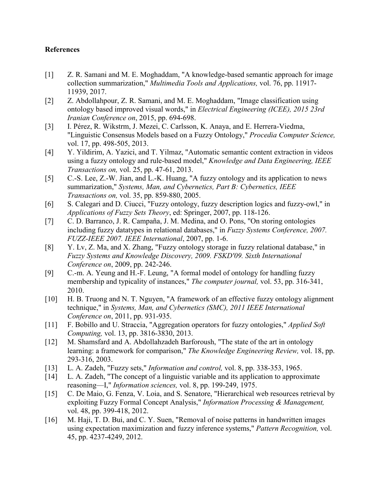# References

- [1] Z. R. Samani and M. E. Moghaddam, "A knowledge-based semantic approach for image collection summarization," *Multimedia Tools and Applications,* vol. 76, pp. 11917- 11939, 2017.
- [2] Z. Abdollahpour, Z. R. Samani, and M. E. Moghaddam, "Image classification using ontology based improved visual words," in *Electrical Engineering (ICEE), 2015 23rd Iranian Conference on*, 2015, pp. 694-698.
- [3] I. Pérez, R. Wikstrm, J. Mezei, C. Carlsson, K. Anaya, and E. Herrera-Viedma, "Linguistic Consensus Models based on a Fuzzy Ontology," *Procedia Computer Science,*  vol. 17, pp. 498-505, 2013.
- [4] Y. Yildirim, A. Yazici, and T. Yilmaz, "Automatic semantic content extraction in videos using a fuzzy ontology and rule-based model," *Knowledge and Data Engineering, IEEE Transactions on,* vol. 25, pp. 47-61, 2013.
- [5] C.-S. Lee, Z.-W. Jian, and L.-K. Huang, "A fuzzy ontology and its application to news summarization," *Systems, Man, and Cybernetics, Part B: Cybernetics, IEEE Transactions on,* vol. 35, pp. 859-880, 2005.
- [6] S. Calegari and D. Ciucci, "Fuzzy ontology, fuzzy description logics and fuzzy-owl," in *Applications of Fuzzy Sets Theory*, ed: Springer, 2007, pp. 118-126.
- [7] C. D. Barranco, J. R. Campaña, J. M. Medina, and O. Pons, "On storing ontologies including fuzzy datatypes in relational databases," in *Fuzzy Systems Conference, 2007. FUZZ-IEEE 2007. IEEE International*, 2007, pp. 1-6.
- [8] Y. Lv, Z. Ma, and X. Zhang, "Fuzzy ontology storage in fuzzy relational database," in *Fuzzy Systems and Knowledge Discovery, 2009. FSKD'09. Sixth International Conference on*, 2009, pp. 242-246.
- [9] C.-m. A. Yeung and H.-F. Leung, "A formal model of ontology for handling fuzzy membership and typicality of instances," *The computer journal,* vol. 53, pp. 316-341, 2010.
- [10] H. B. Truong and N. T. Nguyen, "A framework of an effective fuzzy ontology alignment technique," in *Systems, Man, and Cybernetics (SMC), 2011 IEEE International Conference on*, 2011, pp. 931-935.
- [11] F. Bobillo and U. Straccia, "Aggregation operators for fuzzy ontologies," *Applied Soft Computing,* vol. 13, pp. 3816-3830, 2013.
- [12] M. Shamsfard and A. Abdollahzadeh Barforoush, "The state of the art in ontology learning: a framework for comparison," *The Knowledge Engineering Review,* vol. 18, pp. 293-316, 2003.
- [13] L. A. Zadeh, "Fuzzy sets," *Information and control,* vol. 8, pp. 338-353, 1965.
- [14] L. A. Zadeh, "The concept of a linguistic variable and its application to approximate reasoning—I," *Information sciences,* vol. 8, pp. 199-249, 1975.
- [15] C. De Maio, G. Fenza, V. Loia, and S. Senatore, "Hierarchical web resources retrieval by exploiting Fuzzy Formal Concept Analysis," *Information Processing & Management,*  vol. 48, pp. 399-418, 2012.
- [16] M. Haji, T. D. Bui, and C. Y. Suen, "Removal of noise patterns in handwritten images using expectation maximization and fuzzy inference systems," *Pattern Recognition,* vol. 45, pp. 4237-4249, 2012.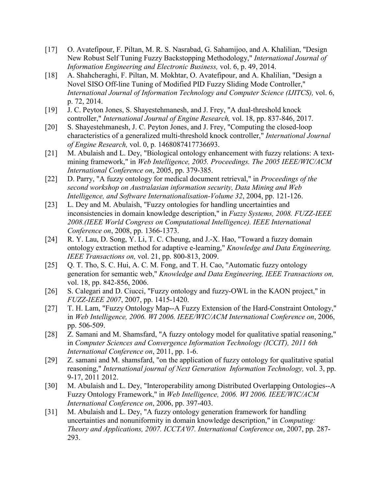- [17] O. Avatefipour, F. Piltan, M. R. S. Nasrabad, G. Sahamijoo, and A. Khalilian, "Design New Robust Self Tuning Fuzzy Backstopping Methodology," *International Journal of Information Engineering and Electronic Business,* vol. 6, p. 49, 2014.
- [18] A. Shahcheraghi, F. Piltan, M. Mokhtar, O. Avatefipour, and A. Khalilian, "Design a Novel SISO Off-line Tuning of Modified PID Fuzzy Sliding Mode Controller," *International Journal of Information Technology and Computer Science (IJITCS),* vol. 6, p. 72, 2014.
- [19] J. C. Peyton Jones, S. Shayestehmanesh, and J. Frey, "A dual-threshold knock controller," *International Journal of Engine Research,* vol. 18, pp. 837-846, 2017.
- [20] S. Shayestehmanesh, J. C. Peyton Jones, and J. Frey, "Computing the closed-loop characteristics of a generalized multi-threshold knock controller," *International Journal of Engine Research,* vol. 0, p. 1468087417736693.
- [21] M. Abulaish and L. Dey, "Biological ontology enhancement with fuzzy relations: A textmining framework," in *Web Intelligence, 2005. Proceedings. The 2005 IEEE/WIC/ACM International Conference on*, 2005, pp. 379-385.
- [22] D. Parry, "A fuzzy ontology for medical document retrieval," in *Proceedings of the second workshop on Australasian information security, Data Mining and Web Intelligence, and Software Internationalisation-Volume 32*, 2004, pp. 121-126.
- [23] L. Dey and M. Abulaish, "Fuzzy ontologies for handling uncertainties and inconsistencies in domain knowledge description," in *Fuzzy Systems, 2008. FUZZ-IEEE 2008.(IEEE World Congress on Computational Intelligence). IEEE International Conference on*, 2008, pp. 1366-1373.
- [24] R. Y. Lau, D. Song, Y. Li, T. C. Cheung, and J.-X. Hao, "Toward a fuzzy domain ontology extraction method for adaptive e-learning," *Knowledge and Data Engineering, IEEE Transactions on,* vol. 21, pp. 800-813, 2009.
- [25] Q. T. Tho, S. C. Hui, A. C. M. Fong, and T. H. Cao, "Automatic fuzzy ontology generation for semantic web," *Knowledge and Data Engineering, IEEE Transactions on,*  vol. 18, pp. 842-856, 2006.
- [26] S. Calegari and D. Ciucci, "Fuzzy ontology and fuzzy-OWL in the KAON project," in *FUZZ-IEEE 2007*, 2007, pp. 1415-1420.
- [27] T. H. Lam, "Fuzzy Ontology Map--A Fuzzy Extension of the Hard-Constraint Ontology," in *Web Intelligence, 2006. WI 2006. IEEE/WIC/ACM International Conference on*, 2006, pp. 506-509.
- [28] Z. Samani and M. Shamsfard, "A fuzzy ontology model for qualitative spatial reasoning," in *Computer Sciences and Convergence Information Technology (ICCIT), 2011 6th International Conference on*, 2011, pp. 1-6.
- [29] Z. samani and M. shamsfard, "on the application of fuzzy ontology for qualitative spatial reasoning," *International journal of Next Generation Information Technology,* vol. 3, pp. 9-17, 2011 2012.
- [30] M. Abulaish and L. Dey, "Interoperability among Distributed Overlapping Ontologies--A Fuzzy Ontology Framework," in *Web Intelligence, 2006. WI 2006. IEEE/WIC/ACM International Conference on*, 2006, pp. 397-403.
- [31] M. Abulaish and L. Dey, "A fuzzy ontology generation framework for handling uncertainties and nonuniformity in domain knowledge description," in *Computing: Theory and Applications, 2007. ICCTA'07. International Conference on*, 2007, pp. 287- 293.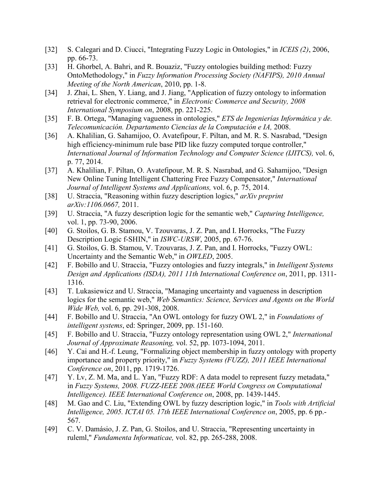- [32] S. Calegari and D. Ciucci, "Integrating Fuzzy Logic in Ontologies," in *ICEIS (2)*, 2006, pp. 66-73.
- [33] H. Ghorbel, A. Bahri, and R. Bouaziz, "Fuzzy ontologies building method: Fuzzy OntoMethodology," in *Fuzzy Information Processing Society (NAFIPS), 2010 Annual Meeting of the North American*, 2010, pp. 1-8.
- [34] J. Zhai, L. Shen, Y. Liang, and J. Jiang, "Application of fuzzy ontology to information retrieval for electronic commerce," in *Electronic Commerce and Security, 2008 International Symposium on*, 2008, pp. 221-225.
- [35] F. B. Ortega, "Managing vagueness in ontologies," *ETS de Ingenierías Informática y de. Telecomunicación. Departamento Ciencias de la Computación e IA,* 2008.
- [36] A. Khalilian, G. Sahamijoo, O. Avatefipour, F. Piltan, and M. R. S. Nasrabad, "Design high efficiency-minimum rule base PID like fuzzy computed torque controller," *International Journal of Information Technology and Computer Science (IJITCS),* vol. 6, p. 77, 2014.
- [37] A. Khalilian, F. Piltan, O. Avatefipour, M. R. S. Nasrabad, and G. Sahamijoo, "Design New Online Tuning Intelligent Chattering Free Fuzzy Compensator," *International Journal of Intelligent Systems and Applications,* vol. 6, p. 75, 2014.
- [38] U. Straccia, "Reasoning within fuzzy description logics," *arXiv preprint arXiv:1106.0667,* 2011.
- [39] U. Straccia, "A fuzzy description logic for the semantic web," *Capturing Intelligence,*  vol. 1, pp. 73-90, 2006.
- [40] G. Stoilos, G. B. Stamou, V. Tzouvaras, J. Z. Pan, and I. Horrocks, "The Fuzzy Description Logic f-SHIN," in *ISWC-URSW*, 2005, pp. 67-76.
- [41] G. Stoilos, G. B. Stamou, V. Tzouvaras, J. Z. Pan, and I. Horrocks, "Fuzzy OWL: Uncertainty and the Semantic Web," in *OWLED*, 2005.
- [42] F. Bobillo and U. Straccia, "Fuzzy ontologies and fuzzy integrals," in *Intelligent Systems Design and Applications (ISDA), 2011 11th International Conference on*, 2011, pp. 1311- 1316.
- [43] T. Lukasiewicz and U. Straccia, "Managing uncertainty and vagueness in description logics for the semantic web," *Web Semantics: Science, Services and Agents on the World Wide Web,* vol. 6, pp. 291-308, 2008.
- [44] F. Bobillo and U. Straccia, "An OWL ontology for fuzzy OWL 2," in *Foundations of intelligent systems*, ed: Springer, 2009, pp. 151-160.
- [45] F. Bobillo and U. Straccia, "Fuzzy ontology representation using OWL 2," *International Journal of Approximate Reasoning,* vol. 52, pp. 1073-1094, 2011.
- [46] Y. Cai and H.-f. Leung, "Formalizing object membership in fuzzy ontology with property importance and property priority," in *Fuzzy Systems (FUZZ), 2011 IEEE International Conference on*, 2011, pp. 1719-1726.
- [47] Y. Lv, Z. M. Ma, and L. Yan, "Fuzzy RDF: A data model to represent fuzzy metadata," in *Fuzzy Systems, 2008. FUZZ-IEEE 2008.(IEEE World Congress on Computational Intelligence). IEEE International Conference on*, 2008, pp. 1439-1445.
- [48] M. Gao and C. Liu, "Extending OWL by fuzzy description logic," in *Tools with Artificial Intelligence, 2005. ICTAI 05. 17th IEEE International Conference on*, 2005, pp. 6 pp.- 567.
- [49] C. V. Damásio, J. Z. Pan, G. Stoilos, and U. Straccia, "Representing uncertainty in ruleml," *Fundamenta Informaticae,* vol. 82, pp. 265-288, 2008.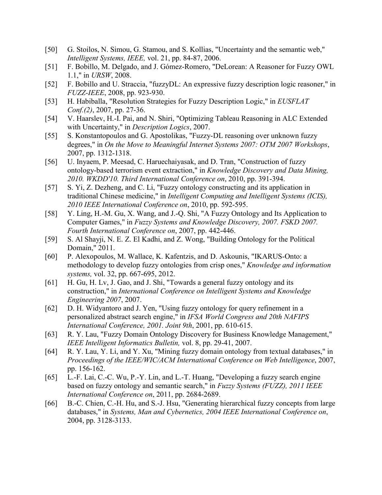- [50] G. Stoilos, N. Simou, G. Stamou, and S. Kollias, "Uncertainty and the semantic web," *Intelligent Systems, IEEE,* vol. 21, pp. 84-87, 2006.
- [51] F. Bobillo, M. Delgado, and J. Gómez-Romero, "DeLorean: A Reasoner for Fuzzy OWL 1.1," in *URSW*, 2008.
- [52] F. Bobillo and U. Straccia, "fuzzyDL: An expressive fuzzy description logic reasoner," in *FUZZ-IEEE*, 2008, pp. 923-930.
- [53] H. Habiballa, "Resolution Strategies for Fuzzy Description Logic," in *EUSFLAT Conf.(2)*, 2007, pp. 27-36.
- [54] V. Haarslev, H.-I. Pai, and N. Shiri, "Optimizing Tableau Reasoning in ALC Extended with Uncertainty," in *Description Logics*, 2007.
- [55] S. Konstantopoulos and G. Apostolikas, "Fuzzy-DL reasoning over unknown fuzzy degrees," in *On the Move to Meaningful Internet Systems 2007: OTM 2007 Workshops*, 2007, pp. 1312-1318.
- [56] U. Inyaem, P. Meesad, C. Haruechaiyasak, and D. Tran, "Construction of fuzzy ontology-based terrorism event extraction," in *Knowledge Discovery and Data Mining, 2010. WKDD'10. Third International Conference on*, 2010, pp. 391-394.
- [57] S. Yi, Z. Dezheng, and C. Li, "Fuzzy ontology constructing and its application in traditional Chinese medicine," in *Intelligent Computing and Intelligent Systems (ICIS), 2010 IEEE International Conference on*, 2010, pp. 592-595.
- [58] Y. Ling, H.-M. Gu, X. Wang, and J.-Q. Shi, "A Fuzzy Ontology and Its Application to Computer Games," in *Fuzzy Systems and Knowledge Discovery, 2007. FSKD 2007. Fourth International Conference on*, 2007, pp. 442-446.
- [59] S. Al Shayji, N. E. Z. El Kadhi, and Z. Wong, "Building Ontology for the Political Domain," 2011.
- [60] P. Alexopoulos, M. Wallace, K. Kafentzis, and D. Askounis, "IKARUS-Onto: a methodology to develop fuzzy ontologies from crisp ones," *Knowledge and information systems,* vol. 32, pp. 667-695, 2012.
- [61] H. Gu, H. Lv, J. Gao, and J. Shi, "Towards a general fuzzy ontology and its construction," in *International Conference on Intelligent Systems and Knowledge Engineering 2007*, 2007.
- [62] D. H. Widyantoro and J. Yen, "Using fuzzy ontology for query refinement in a personalized abstract search engine," in *IFSA World Congress and 20th NAFIPS International Conference, 2001. Joint 9th*, 2001, pp. 610-615.
- [63] R. Y. Lau, "Fuzzy Domain Ontology Discovery for Business Knowledge Management," *IEEE Intelligent Informatics Bulletin,* vol. 8, pp. 29-41, 2007.
- [64] R. Y. Lau, Y. Li, and Y. Xu, "Mining fuzzy domain ontology from textual databases," in *Proceedings of the IEEE/WIC/ACM International Conference on Web Intelligence*, 2007, pp. 156-162.
- [65] L.-F. Lai, C.-C. Wu, P.-Y. Lin, and L.-T. Huang, "Developing a fuzzy search engine based on fuzzy ontology and semantic search," in *Fuzzy Systems (FUZZ), 2011 IEEE International Conference on*, 2011, pp. 2684-2689.
- [66] B.-C. Chien, C.-H. Hu, and S.-J. Hsu, "Generating hierarchical fuzzy concepts from large databases," in *Systems, Man and Cybernetics, 2004 IEEE International Conference on*, 2004, pp. 3128-3133.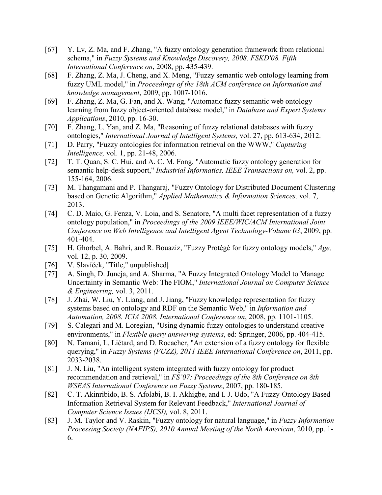- [67] Y. Lv, Z. Ma, and F. Zhang, "A fuzzy ontology generation framework from relational schema," in *Fuzzy Systems and Knowledge Discovery, 2008. FSKD'08. Fifth International Conference on*, 2008, pp. 435-439.
- [68] F. Zhang, Z. Ma, J. Cheng, and X. Meng, "Fuzzy semantic web ontology learning from fuzzy UML model," in *Proceedings of the 18th ACM conference on Information and knowledge management*, 2009, pp. 1007-1016.
- [69] F. Zhang, Z. Ma, G. Fan, and X. Wang, "Automatic fuzzy semantic web ontology learning from fuzzy object-oriented database model," in *Database and Expert Systems Applications*, 2010, pp. 16-30.
- [70] F. Zhang, L. Yan, and Z. Ma, "Reasoning of fuzzy relational databases with fuzzy ontologies," *International Journal of Intelligent Systems,* vol. 27, pp. 613-634, 2012.
- [71] D. Parry, "Fuzzy ontologies for information retrieval on the WWW," *Capturing Intelligence,* vol. 1, pp. 21-48, 2006.
- [72] T. T. Quan, S. C. Hui, and A. C. M. Fong, "Automatic fuzzy ontology generation for semantic help-desk support," *Industrial Informatics, IEEE Transactions on,* vol. 2, pp. 155-164, 2006.
- [73] M. Thangamani and P. Thangaraj, "Fuzzy Ontology for Distributed Document Clustering based on Genetic Algorithm," *Applied Mathematics & Information Sciences,* vol. 7, 2013.
- [74] C. D. Maio, G. Fenza, V. Loia, and S. Senatore, "A multi facet representation of a fuzzy ontology population," in *Proceedings of the 2009 IEEE/WIC/ACM International Joint Conference on Web Intelligence and Intelligent Agent Technology-Volume 03*, 2009, pp. 401-404.
- [75] H. Ghorbel, A. Bahri, and R. Bouaziz, "Fuzzy Protégé for fuzzy ontology models," *Age*, vol. 12, p. 30, 2009.
- [76] V. Slavíček, "Title," unpublished|.
- [77] A. Singh, D. Juneja, and A. Sharma, "A Fuzzy Integrated Ontology Model to Manage Uncertainty in Semantic Web: The FIOM," *International Journal on Computer Science & Engineering,* vol. 3, 2011.
- [78] J. Zhai, W. Liu, Y. Liang, and J. Jiang, "Fuzzy knowledge representation for fuzzy systems based on ontology and RDF on the Semantic Web," in *Information and Automation, 2008. ICIA 2008. International Conference on*, 2008, pp. 1101-1105.
- [79] S. Calegari and M. Loregian, "Using dynamic fuzzy ontologies to understand creative environments," in *Flexible query answering systems*, ed: Springer, 2006, pp. 404-415.
- [80] N. Tamani, L. Liétard, and D. Rocacher, "An extension of a fuzzy ontology for flexible querying," in *Fuzzy Systems (FUZZ), 2011 IEEE International Conference on*, 2011, pp. 2033-2038.
- [81] J. N. Liu, "An intelligent system integrated with fuzzy ontology for product recommendation and retrieval," in *FS'07: Proceedings of the 8th Conference on 8th WSEAS International Conference on Fuzzy Systems*, 2007, pp. 180-185.
- [82] C. T. Akinribido, B. S. Afolabi, B. I. Akhigbe, and I. J. Udo, "A Fuzzy-Ontology Based Information Retrieval System for Relevant Feedback," *International Journal of Computer Science Issues (IJCSI),* vol. 8, 2011.
- [83] J. M. Taylor and V. Raskin, "Fuzzy ontology for natural language," in *Fuzzy Information Processing Society (NAFIPS), 2010 Annual Meeting of the North American*, 2010, pp. 1- 6.